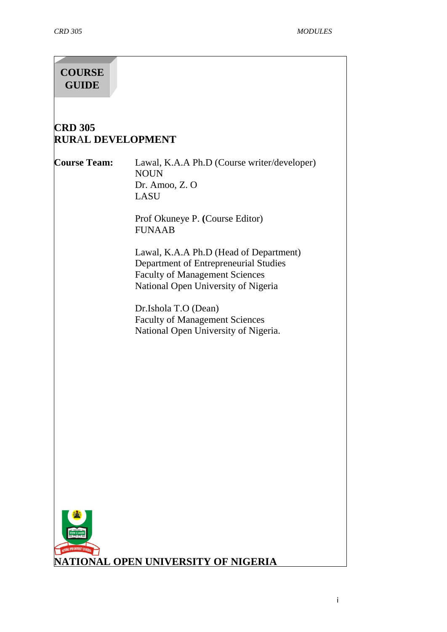# **COURSE GUIDE**

# **CRD 305 RUR**A**L DEVELOPMENT**

**Course Team:** Lawal, K.A.A Ph.D (Course writer/developer) NOUN Dr. Amoo, Z. O LASU

> Prof Okuneye P. **(**Course Editor) FUNAAB

Lawal, K.A.A Ph.D (Head of Department) Department of Entrepreneurial Studies Faculty of Management Sciences National Open University of Nigeria

Dr.Ishola T.O (Dean) Faculty of Management Sciences National Open University of Nigeria.

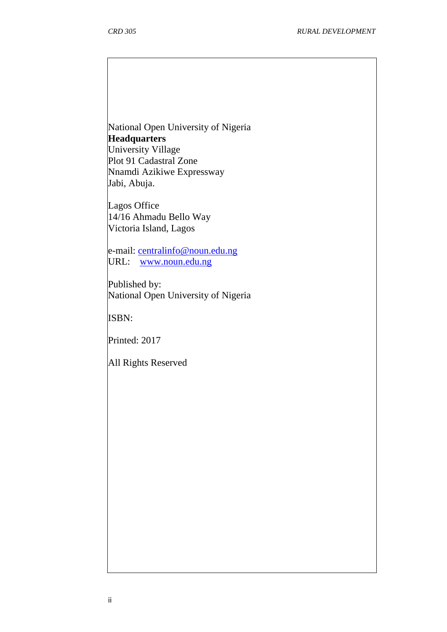National Open University of Nigeria **Headquarters** University Village Plot 91 Cadastral Zone Nnamdi Azikiwe Expressway

Lagos Office 14/16 Ahmadu Bello Way Victoria Island, Lagos

Jabi, Abuja.

e-mail: [centralinfo@noun.edu.ng](mailto:centralinfo@noun.edu.ng) URL: [www.noun.edu.ng](http://www.noun.edu.ng/)

Published by: National Open University of Nigeria

ISBN:

Printed: 2017

All Rights Reserved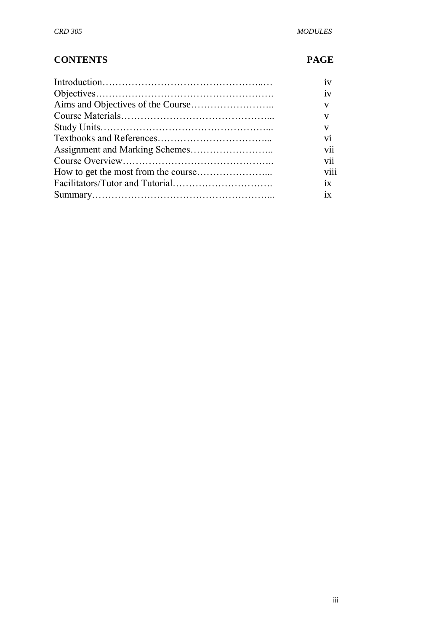# **CONTENTS PAGE**

| 1V                   |
|----------------------|
| 1V                   |
| V                    |
| V                    |
| V                    |
| vi                   |
| vii                  |
| $\cdot \cdot$<br>V11 |
| viii                 |
| 1X                   |
| $ix -$               |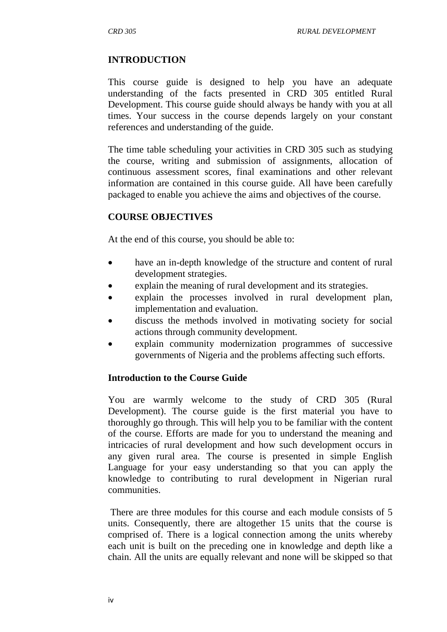#### **INTRODUCTION**

This course guide is designed to help you have an adequate understanding of the facts presented in CRD 305 entitled Rural Development. This course guide should always be handy with you at all times. Your success in the course depends largely on your constant references and understanding of the guide.

The time table scheduling your activities in CRD 305 such as studying the course, writing and submission of assignments, allocation of continuous assessment scores, final examinations and other relevant information are contained in this course guide. All have been carefully packaged to enable you achieve the aims and objectives of the course.

#### **COURSE OBJECTIVES**

At the end of this course, you should be able to:

- have an in-depth knowledge of the structure and content of rural development strategies.
- explain the meaning of rural development and its strategies.
- explain the processes involved in rural development plan, implementation and evaluation.
- discuss the methods involved in motivating society for social actions through community development.
- explain community modernization programmes of successive governments of Nigeria and the problems affecting such efforts.

#### **Introduction to the Course Guide**

You are warmly welcome to the study of CRD 305 (Rural Development). The course guide is the first material you have to thoroughly go through. This will help you to be familiar with the content of the course. Efforts are made for you to understand the meaning and intricacies of rural development and how such development occurs in any given rural area. The course is presented in simple English Language for your easy understanding so that you can apply the knowledge to contributing to rural development in Nigerian rural communities.

There are three modules for this course and each module consists of 5 units. Consequently, there are altogether 15 units that the course is comprised of. There is a logical connection among the units whereby each unit is built on the preceding one in knowledge and depth like a chain. All the units are equally relevant and none will be skipped so that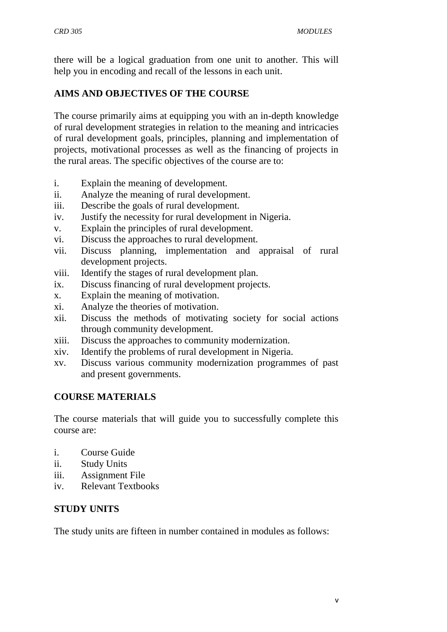there will be a logical graduation from one unit to another. This will help you in encoding and recall of the lessons in each unit.

## **AIMS AND OBJECTIVES OF THE COURSE**

The course primarily aims at equipping you with an in-depth knowledge of rural development strategies in relation to the meaning and intricacies of rural development goals, principles, planning and implementation of projects, motivational processes as well as the financing of projects in the rural areas. The specific objectives of the course are to:

- i. Explain the meaning of development.
- ii. Analyze the meaning of rural development.
- iii. Describe the goals of rural development.
- iv. Justify the necessity for rural development in Nigeria.
- v. Explain the principles of rural development.
- vi. Discuss the approaches to rural development.
- vii. Discuss planning, implementation and appraisal of rural development projects.
- viii. Identify the stages of rural development plan.
- ix. Discuss financing of rural development projects.
- x. Explain the meaning of motivation.
- xi. Analyze the theories of motivation.
- xii. Discuss the methods of motivating society for social actions through community development.
- xiii. Discuss the approaches to community modernization.
- xiv. Identify the problems of rural development in Nigeria.
- xv. Discuss various community modernization programmes of past and present governments.

#### **COURSE MATERIALS**

The course materials that will guide you to successfully complete this course are:

- i. Course Guide
- ii. Study Units
- iii. Assignment File
- iv. Relevant Textbooks

#### **STUDY UNITS**

The study units are fifteen in number contained in modules as follows: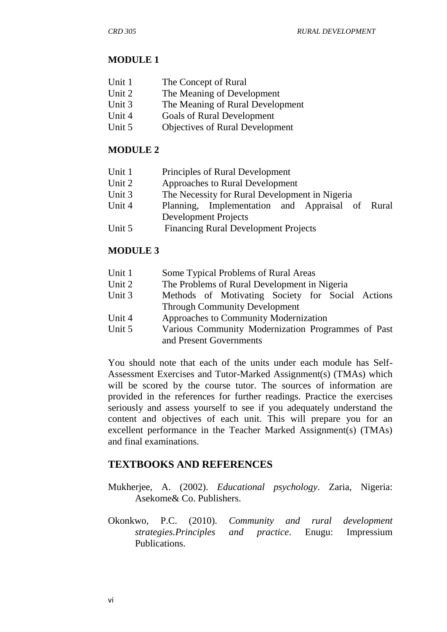## **MODULE 1**

| Unit 1 | The Concept of Rural |
|--------|----------------------|
|--------|----------------------|

- Unit 2 The Meaning of Development
- Unit 3 The Meaning of Rural Development
- Unit 4 Goals of Rural Development
- Unit 5 Objectives of Rural Development

## **MODULE 2**

- Unit 1 Principles of Rural Development
- Unit 2 Approaches to Rural Development
- Unit 3 The Necessity for Rural Development in Nigeria
- Unit 4 Planning, Implementation and Appraisal of Rural Development Projects
- Unit 5 Financing Rural Development Projects

## **MODULE 3**

- Unit 1 Some Typical Problems of Rural Areas
- Unit 2 The Problems of Rural Development in Nigeria
- Unit 3 Methods of Motivating Society for Social Actions Through Community Development
- Unit 4 Approaches to Community Modernization
- Unit 5 Various Community Modernization Programmes of Past and Present Governments

You should note that each of the units under each module has Self-Assessment Exercises and Tutor-Marked Assignment(s) (TMAs) which will be scored by the course tutor. The sources of information are provided in the references for further readings. Practice the exercises seriously and assess yourself to see if you adequately understand the content and objectives of each unit. This will prepare you for an excellent performance in the Teacher Marked Assignment(s) (TMAs) and final examinations.

## **TEXTBOOKS AND REFERENCES**

- Mukherjee, A. (2002). *Educational psychology*. Zaria, Nigeria: Asekome& Co. Publishers.
- Okonkwo, P.C. (2010). *Community and rural development strategies.Principles and practice*. Enugu: Impressium Publications.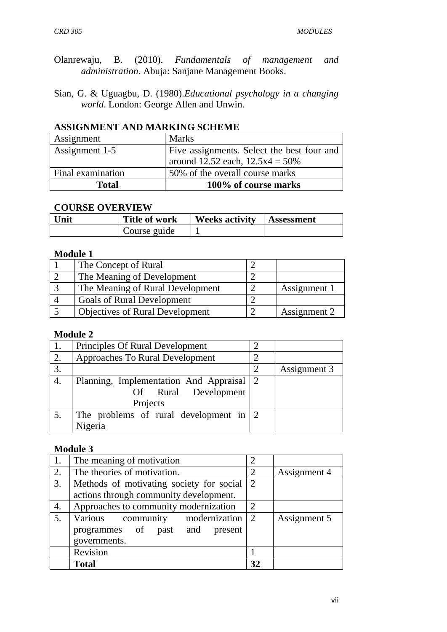- Olanrewaju, B. (2010). *Fundamentals of management and administration*. Abuja: Sanjane Management Books.
- Sian, G. & Uguagbu, D. (1980).*Educational psychology in a changing world*. London: George Allen and Unwin.

## **ASSIGNMENT AND MARKING SCHEME**

| Assignment        | <b>Marks</b>                               |
|-------------------|--------------------------------------------|
| Assignment 1-5    | Five assignments. Select the best four and |
|                   | around 12.52 each, $12.5x4 = 50\%$         |
| Final examination | 50% of the overall course marks            |
| <b>Total</b>      | 100% of course marks                       |

#### **COURSE OVERVIEW**

| Unit | <b>Title of work</b> | <b>Weeks activity</b> | Assessment |
|------|----------------------|-----------------------|------------|
|      | Course guide         |                       |            |

#### **Module 1**

| The Concept of Rural                   |              |
|----------------------------------------|--------------|
| The Meaning of Development             |              |
| The Meaning of Rural Development       | Assignment 1 |
| <b>Goals of Rural Development</b>      |              |
| <b>Objectives of Rural Development</b> | Assignment 2 |

#### **Module 2**

|                  | Principles Of Rural Development           |              |
|------------------|-------------------------------------------|--------------|
| 2.               | Approaches To Rural Development           |              |
| 3.               |                                           | Assignment 3 |
| $\overline{4}$ . | Planning, Implementation And Appraisal 2  |              |
|                  | Of Rural Development                      |              |
|                  | Projects                                  |              |
|                  | The problems of rural development in $ 2$ |              |
|                  | Nigeria                                   |              |

## **Module 3**

|    | The meaning of motivation                | $\mathcal{D}_{\mathcal{A}}$ |              |
|----|------------------------------------------|-----------------------------|--------------|
| 2. | The theories of motivation.              | $\overline{2}$              | Assignment 4 |
| 3. | Methods of motivating society for social | 2                           |              |
|    | actions through community development.   |                             |              |
| 4. | Approaches to community modernization    | $\mathfrak{2}$              |              |
|    | Various community modernization          | $\sqrt{2}$                  | Assignment 5 |
|    | programmes of past and present           |                             |              |
|    | governments.                             |                             |              |
|    | Revision                                 |                             |              |
|    | <b>Total</b>                             | 32                          |              |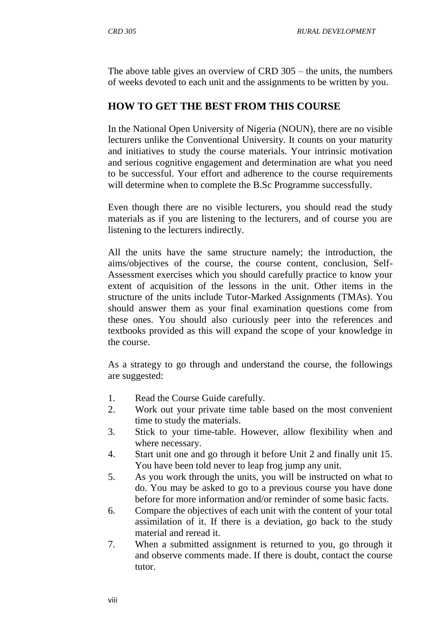The above table gives an overview of CRD 305 – the units, the numbers of weeks devoted to each unit and the assignments to be written by you.

# **HOW TO GET THE BEST FROM THIS COURSE**

In the National Open University of Nigeria (NOUN), there are no visible lecturers unlike the Conventional University. It counts on your maturity and initiatives to study the course materials. Your intrinsic motivation and serious cognitive engagement and determination are what you need to be successful. Your effort and adherence to the course requirements will determine when to complete the B.Sc Programme successfully.

Even though there are no visible lecturers, you should read the study materials as if you are listening to the lecturers, and of course you are listening to the lecturers indirectly.

All the units have the same structure namely; the introduction, the aims/objectives of the course, the course content, conclusion, Self-Assessment exercises which you should carefully practice to know your extent of acquisition of the lessons in the unit. Other items in the structure of the units include Tutor-Marked Assignments (TMAs). You should answer them as your final examination questions come from these ones. You should also curiously peer into the references and textbooks provided as this will expand the scope of your knowledge in the course.

As a strategy to go through and understand the course, the followings are suggested:

- 1. Read the Course Guide carefully.
- 2. Work out your private time table based on the most convenient time to study the materials.
- 3. Stick to your time-table. However, allow flexibility when and where necessary.
- 4. Start unit one and go through it before Unit 2 and finally unit 15. You have been told never to leap frog jump any unit.
- 5. As you work through the units, you will be instructed on what to do. You may be asked to go to a previous course you have done before for more information and/or reminder of some basic facts.
- 6. Compare the objectives of each unit with the content of your total assimilation of it. If there is a deviation, go back to the study material and reread it.
- 7. When a submitted assignment is returned to you, go through it and observe comments made. If there is doubt, contact the course tutor.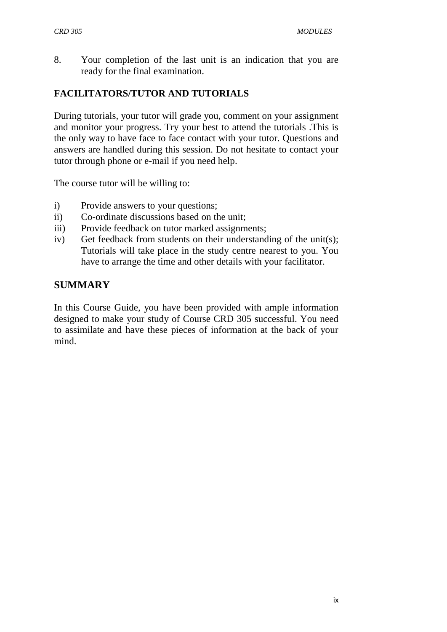8. Your completion of the last unit is an indication that you are ready for the final examination.

## **FACILITATORS/TUTOR AND TUTORIALS**

During tutorials, your tutor will grade you, comment on your assignment and monitor your progress. Try your best to attend the tutorials .This is the only way to have face to face contact with your tutor. Questions and answers are handled during this session. Do not hesitate to contact your tutor through phone or e-mail if you need help.

The course tutor will be willing to:

- i) Provide answers to your questions;
- ii) Co-ordinate discussions based on the unit;
- iii) Provide feedback on tutor marked assignments;
- iv) Get feedback from students on their understanding of the unit(s); Tutorials will take place in the study centre nearest to you. You have to arrange the time and other details with your facilitator.

## **SUMMARY**

In this Course Guide, you have been provided with ample information designed to make your study of Course CRD 305 successful. You need to assimilate and have these pieces of information at the back of your mind.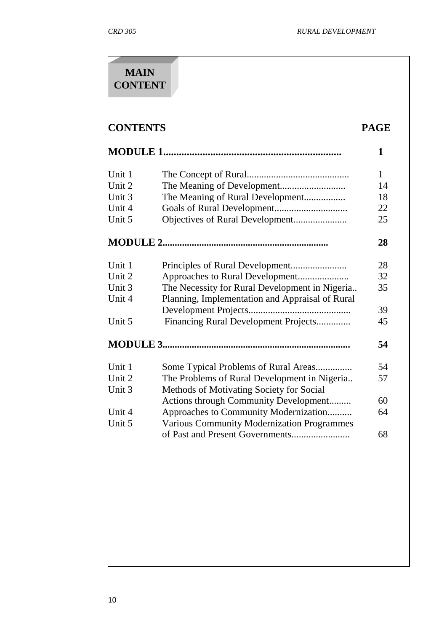| <b>CONTENTS</b> |                                                   | <b>PAGE</b>  |
|-----------------|---------------------------------------------------|--------------|
|                 |                                                   | 1            |
| Unit 1          |                                                   | $\mathbf{1}$ |
| Unit 2          |                                                   | 14           |
| Unit 3          | The Meaning of Rural Development                  | 18           |
| Unit 4          |                                                   | 22           |
| Unit 5          | Objectives of Rural Development                   | 25           |
|                 |                                                   | 28           |
| Unit 1          |                                                   | 28           |
| Unit 2          | Approaches to Rural Development                   | 32           |
| Unit 3          | The Necessity for Rural Development in Nigeria    | 35           |
| Unit 4          | Planning, Implementation and Appraisal of Rural   |              |
|                 |                                                   | 39           |
| Unit 5          | Financing Rural Development Projects              | 45           |
|                 |                                                   | 54           |
| Unit 1          | Some Typical Problems of Rural Areas              | 54           |
| Unit 2          | The Problems of Rural Development in Nigeria      | 57           |
| Unit 3          | Methods of Motivating Society for Social          |              |
|                 | Actions through Community Development             | 60           |
| Unit 4          | Approaches to Community Modernization             | 64           |
| Unit 5          | <b>Various Community Modernization Programmes</b> |              |
|                 |                                                   | 68           |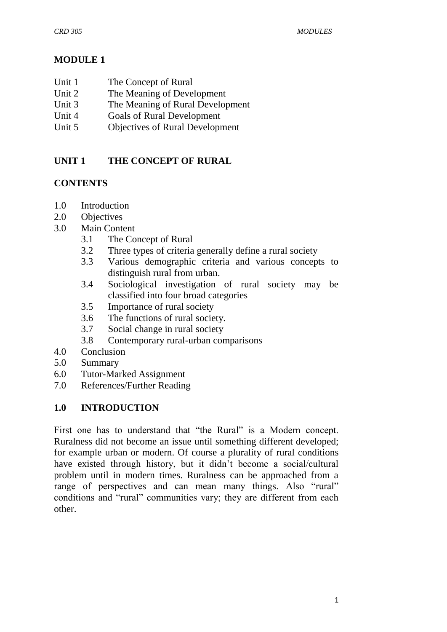## **MODULE 1**

- Unit 1 The Concept of Rural
- Unit 2 The Meaning of Development
- Unit 3 The Meaning of Rural Development
- Unit 4 Goals of Rural Development
- Unit 5 Objectives of Rural Development

# **UNIT 1 THE CONCEPT OF RURAL**

## **CONTENTS**

- 1.0 Introduction
- 2.0 Objectives
- 3.0 Main Content
	- 3.1 The Concept of Rural
	- 3.2 Three types of criteria generally define a rural society
	- 3.3 Various demographic criteria and various concepts to distinguish rural from urban.
	- 3.4 Sociological investigation of rural society may be classified into four broad categories
	- 3.5 Importance of rural society
	- 3.6 The functions of rural society.
	- 3.7 Social change in rural society
	- 3.8 Contemporary rural-urban comparisons
- 4.0 Conclusion
- 5.0 Summary
- 6.0 Tutor-Marked Assignment
- 7.0 References/Further Reading

## **1.0 INTRODUCTION**

First one has to understand that "the Rural" is a Modern concept. Ruralness did not become an issue until something different developed; for example urban or modern. Of course a plurality of rural conditions have existed through history, but it didn't become a social/cultural problem until in modern times. Ruralness can be approached from a range of perspectives and can mean many things. Also "rural" conditions and "rural" communities vary; they are different from each other.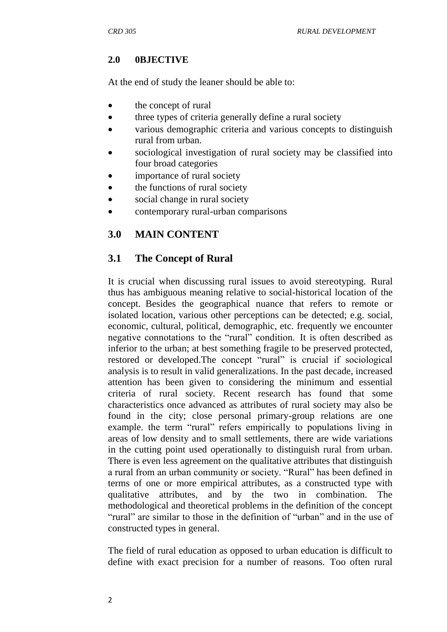## **2.0 0BJECTIVE**

At the end of study the leaner should be able to:

- the concept of rural
- three types of criteria generally define a rural society
- various demographic criteria and various concepts to distinguish rural from urban.
- sociological investigation of rural society may be classified into four broad categories
- importance of rural society
- the functions of rural society
- social change in rural society
- contemporary rural-urban comparisons

# **3.0 MAIN CONTENT**

## **3.1 The Concept of Rural**

It is crucial when discussing rural issues to avoid stereotyping. Rural thus has ambiguous meaning relative to social-historical location of the concept. Besides the geographical nuance that refers to remote or isolated location, various other perceptions can be detected; e.g. social, economic, cultural, political, demographic, etc. frequently we encounter negative connotations to the "rural" condition. It is often described as inferior to the urban; at best something fragile to be preserved protected, restored or developed. The concept "rural" is crucial if sociological analysis is to result in valid generalizations. In the past decade, increased attention has been given to considering the minimum and essential criteria of rural society. Recent research has found that some characteristics once advanced as attributes of rural society may also be found in the city; close personal primary-group relations are one example. the term "rural" refers empirically to populations living in areas of low density and to small settlements, there are wide variations in the cutting point used operationally to distinguish rural from urban. There is even less agreement on the qualitative attributes that distinguish a rural from an urban community or society. "Rural" has been defined in terms of one or more empirical attributes, as a constructed type with qualitative attributes, and by the two in combination. The methodological and theoretical problems in the definition of the concept "rural" are similar to those in the definition of "urban" and in the use of constructed types in general.

The field of rural education as opposed to urban education is difficult to define with exact precision for a number of reasons. Too often rural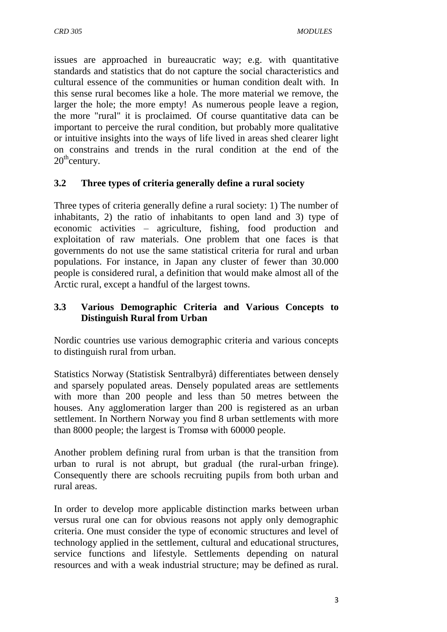issues are approached in bureaucratic way; e.g. with quantitative standards and statistics that do not capture the social characteristics and cultural essence of the communities or human condition dealt with. In this sense rural becomes like a hole. The more material we remove, the larger the hole; the more empty! As numerous people leave a region, the more "rural" it is proclaimed. Of course quantitative data can be important to perceive the rural condition, but probably more qualitative or intuitive insights into the ways of life lived in areas shed clearer light on constrains and trends in the rural condition at the end of the  $20^{\text{th}}$ century.

#### **3.2 Three types of criteria generally define a rural society**

Three types of criteria generally define a rural society: 1) The number of inhabitants, 2) the ratio of inhabitants to open land and 3) type of economic activities – agriculture, fishing, food production and exploitation of raw materials. One problem that one faces is that governments do not use the same statistical criteria for rural and urban populations. For instance, in Japan any cluster of fewer than 30.000 people is considered rural, a definition that would make almost all of the Arctic rural, except a handful of the largest towns.

#### **3.3 Various Demographic Criteria and Various Concepts to Distinguish Rural from Urban**

Nordic countries use various demographic criteria and various concepts to distinguish rural from urban.

Statistics Norway (Statistisk Sentralbyrå) differentiates between densely and sparsely populated areas. Densely populated areas are settlements with more than 200 people and less than 50 metres between the houses. Any agglomeration larger than 200 is registered as an urban settlement. In Northern Norway you find 8 urban settlements with more than 8000 people; the largest is Tromsø with 60000 people.

Another problem defining rural from urban is that the transition from urban to rural is not abrupt, but gradual (the rural-urban fringe). Consequently there are schools recruiting pupils from both urban and rural areas.

In order to develop more applicable distinction marks between urban versus rural one can for obvious reasons not apply only demographic criteria. One must consider the type of economic structures and level of technology applied in the settlement, cultural and educational structures, service functions and lifestyle. Settlements depending on natural resources and with a weak industrial structure; may be defined as rural.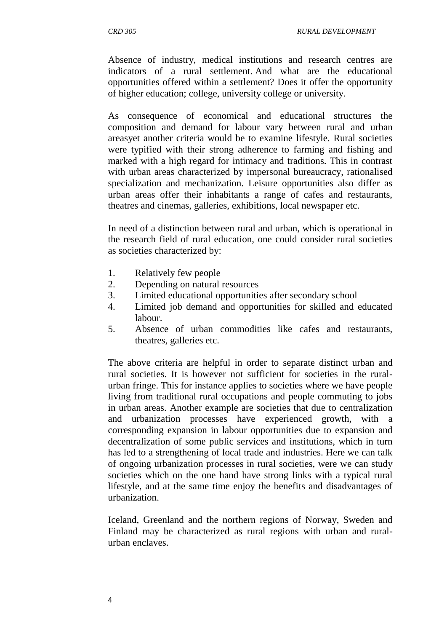Absence of industry, medical institutions and research centres are indicators of a rural settlement. And what are the educational opportunities offered within a settlement? Does it offer the opportunity of higher education; college, university college or university.

As consequence of economical and educational structures the composition and demand for labour vary between rural and urban areasyet another criteria would be to examine lifestyle. Rural societies were typified with their strong adherence to farming and fishing and marked with a high regard for intimacy and traditions. This in contrast with urban areas characterized by impersonal bureaucracy, rationalised specialization and mechanization. Leisure opportunities also differ as urban areas offer their inhabitants a range of cafes and restaurants, theatres and cinemas, galleries, exhibitions, local newspaper etc.

In need of a distinction between rural and urban, which is operational in the research field of rural education, one could consider rural societies as societies characterized by:

- 1. Relatively few people
- 2. Depending on natural resources
- 3. Limited educational opportunities after secondary school
- 4. Limited job demand and opportunities for skilled and educated labour.
- 5. Absence of urban commodities like cafes and restaurants, theatres, galleries etc.

The above criteria are helpful in order to separate distinct urban and rural societies. It is however not sufficient for societies in the ruralurban fringe. This for instance applies to societies where we have people living from traditional rural occupations and people commuting to jobs in urban areas. Another example are societies that due to centralization and urbanization processes have experienced growth, with a corresponding expansion in labour opportunities due to expansion and decentralization of some public services and institutions, which in turn has led to a strengthening of local trade and industries. Here we can talk of ongoing urbanization processes in rural societies, were we can study societies which on the one hand have strong links with a typical rural lifestyle, and at the same time enjoy the benefits and disadvantages of urbanization.

Iceland, Greenland and the northern regions of Norway, Sweden and Finland may be characterized as rural regions with urban and ruralurban enclaves.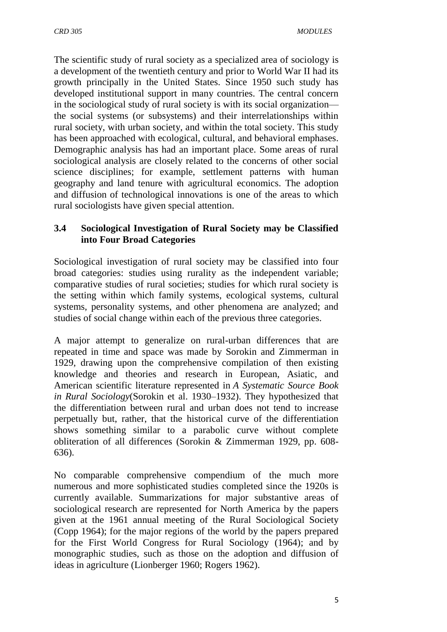The scientific study of rural society as a specialized area of sociology is a development of the twentieth century and prior to World War II had its growth principally in the United States. Since 1950 such study has developed institutional support in many countries. The central concern in the sociological study of rural society is with its social organization the social systems (or subsystems) and their interrelationships within rural society, with urban society, and within the total society. This study has been approached with ecological, cultural, and behavioral emphases. Demographic analysis has had an important place. Some areas of rural sociological analysis are closely related to the concerns of other social science disciplines; for example, settlement patterns with human geography and land tenure with agricultural economics. The adoption and diffusion of technological innovations is one of the areas to which rural sociologists have given special attention.

## **3.4 Sociological Investigation of Rural Society may be Classified into Four Broad Categories**

Sociological investigation of rural society may be classified into four broad categories: studies using rurality as the independent variable; comparative studies of rural societies; studies for which rural society is the setting within which family systems, ecological systems, cultural systems, personality systems, and other phenomena are analyzed; and studies of social change within each of the previous three categories.

A major attempt to generalize on rural-urban differences that are repeated in time and space was made by Sorokin and Zimmerman in 1929, drawing upon the comprehensive compilation of then existing knowledge and theories and research in European, Asiatic, and American scientific literature represented in *A Systematic Source Book in Rural Sociology*(Sorokin et al. 1930–1932). They hypothesized that the differentiation between rural and urban does not tend to increase perpetually but, rather, that the historical curve of the differentiation shows something similar to a parabolic curve without complete obliteration of all differences (Sorokin & Zimmerman 1929, pp. 608- 636).

No comparable comprehensive compendium of the much more numerous and more sophisticated studies completed since the 1920s is currently available. Summarizations for major substantive areas of sociological research are represented for North America by the papers given at the 1961 annual meeting of the Rural Sociological Society (Copp 1964); for the major regions of the world by the papers prepared for the First World Congress for Rural Sociology (1964); and by monographic studies, such as those on the adoption and diffusion of ideas in agriculture (Lionberger 1960; Rogers 1962).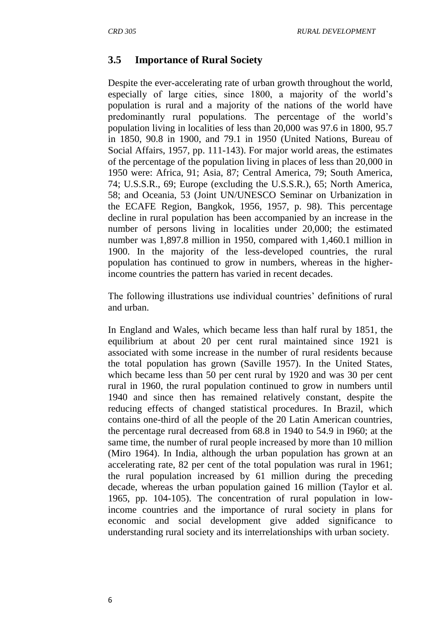## **3.5 Importance of Rural Society**

Despite the ever-accelerating rate of urban growth throughout the world, especially of large cities, since 1800, a majority of the world's population is rural and a majority of the nations of the world have predominantly rural populations. The percentage of the world's population living in localities of less than 20,000 was 97.6 in 1800, 95.7 in 1850, 90.8 in 1900, and 79.1 in 1950 (United Nations, Bureau of Social Affairs, 1957, pp. 111-143). For major world areas, the estimates of the percentage of the population living in places of less than 20,000 in 1950 were: Africa, 91; Asia, 87; Central America, 79; South America, 74; U.S.S.R., 69; Europe (excluding the U.S.S.R.), 65; North America, 58; and Oceania, 53 (Joint UN/UNESCO Seminar on Urbanization in the ECAFE Region, Bangkok, 1956, 1957, p. 98). This percentage decline in rural population has been accompanied by an increase in the number of persons living in localities under 20,000; the estimated number was 1,897.8 million in 1950, compared with 1,460.1 million in 1900. In the majority of the less-developed countries, the rural population has continued to grow in numbers, whereas in the higherincome countries the pattern has varied in recent decades.

The following illustrations use individual countries' definitions of rural and urban.

In England and Wales, which became less than half rural by 1851, the equilibrium at about 20 per cent rural maintained since 1921 is associated with some increase in the number of rural residents because the total population has grown (Saville 1957). In the United States, which became less than 50 per cent rural by 1920 and was 30 per cent rural in 1960, the rural population continued to grow in numbers until 1940 and since then has remained relatively constant, despite the reducing effects of changed statistical procedures. In Brazil, which contains one-third of all the people of the 20 Latin American countries, the percentage rural decreased from 68.8 in 1940 to 54.9 in I960; at the same time, the number of rural people increased by more than 10 million (Miro 1964). In India, although the urban population has grown at an accelerating rate, 82 per cent of the total population was rural in 1961; the rural population increased by 61 million during the preceding decade, whereas the urban population gained 16 million (Taylor et al. 1965, pp. 104-105). The concentration of rural population in lowincome countries and the importance of rural society in plans for economic and social development give added significance to understanding rural society and its interrelationships with urban society.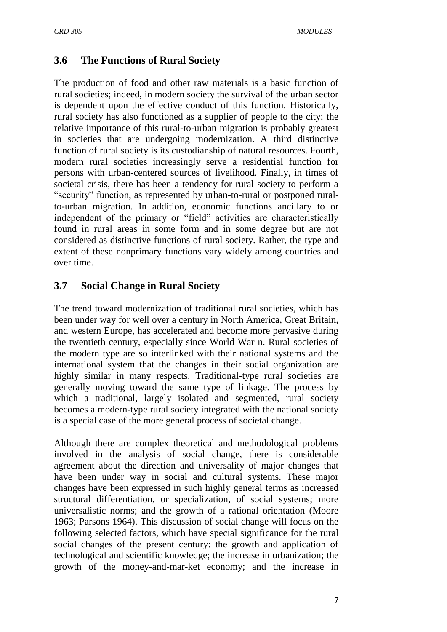## **3.6 The Functions of Rural Society**

The production of food and other raw materials is a basic function of rural societies; indeed, in modern society the survival of the urban sector is dependent upon the effective conduct of this function. Historically, rural society has also functioned as a supplier of people to the city; the relative importance of this rural-to-urban migration is probably greatest in societies that are undergoing modernization. A third distinctive function of rural society is its custodianship of natural resources. Fourth, modern rural societies increasingly serve a residential function for persons with urban-centered sources of livelihood. Finally, in times of societal crisis, there has been a tendency for rural society to perform a "security" function, as represented by urban-to-rural or postponed ruralto-urban migration. In addition, economic functions ancillary to or independent of the primary or "field" activities are characteristically found in rural areas in some form and in some degree but are not considered as distinctive functions of rural society. Rather, the type and extent of these nonprimary functions vary widely among countries and over time.

## **3.7 Social Change in Rural Society**

The trend toward modernization of traditional rural societies, which has been under way for well over a century in North America, Great Britain, and western Europe, has accelerated and become more pervasive during the twentieth century, especially since World War n. Rural societies of the modern type are so interlinked with their national systems and the international system that the changes in their social organization are highly similar in many respects. Traditional-type rural societies are generally moving toward the same type of linkage. The process by which a traditional, largely isolated and segmented, rural society becomes a modern-type rural society integrated with the national society is a special case of the more general process of societal change.

Although there are complex theoretical and methodological problems involved in the analysis of social change, there is considerable agreement about the direction and universality of major changes that have been under way in social and cultural systems. These major changes have been expressed in such highly general terms as increased structural differentiation, or specialization, of social systems; more universalistic norms; and the growth of a rational orientation (Moore 1963; Parsons 1964). This discussion of social change will focus on the following selected factors, which have special significance for the rural social changes of the present century: the growth and application of technological and scientific knowledge; the increase in urbanization; the growth of the money-and-mar-ket economy; and the increase in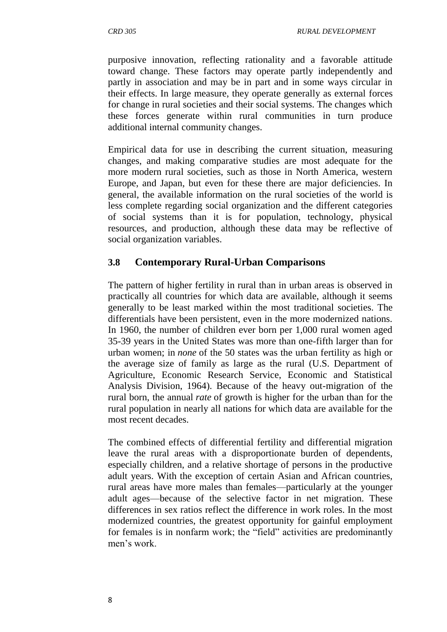purposive innovation, reflecting rationality and a favorable attitude toward change. These factors may operate partly independently and partly in association and may be in part and in some ways circular in their effects. In large measure, they operate generally as external forces for change in rural societies and their social systems. The changes which these forces generate within rural communities in turn produce additional internal community changes.

Empirical data for use in describing the current situation, measuring changes, and making comparative studies are most adequate for the more modern rural societies, such as those in North America, western Europe, and Japan, but even for these there are major deficiencies. In general, the available information on the rural societies of the world is less complete regarding social organization and the different categories of social systems than it is for population, technology, physical resources, and production, although these data may be reflective of social organization variables.

## **3.8 Contemporary Rural-Urban Comparisons**

The pattern of higher fertility in rural than in urban areas is observed in practically all countries for which data are available, although it seems generally to be least marked within the most traditional societies. The differentials have been persistent, even in the more modernized nations. In 1960, the number of children ever born per 1,000 rural women aged 35-39 years in the United States was more than one-fifth larger than for urban women; in *none* of the 50 states was the urban fertility as high or the average size of family as large as the rural (U.S. Department of Agriculture, Economic Research Service, Economic and Statistical Analysis Division, 1964). Because of the heavy out-migration of the rural born, the annual *rate* of growth is higher for the urban than for the rural population in nearly all nations for which data are available for the most recent decades.

The combined effects of differential fertility and differential migration leave the rural areas with a disproportionate burden of dependents, especially children, and a relative shortage of persons in the productive adult years. With the exception of certain Asian and African countries, rural areas have more males than females—particularly at the younger adult ages—because of the selective factor in net migration. These differences in sex ratios reflect the difference in work roles. In the most modernized countries, the greatest opportunity for gainful employment for females is in nonfarm work; the "field" activities are predominantly men's work.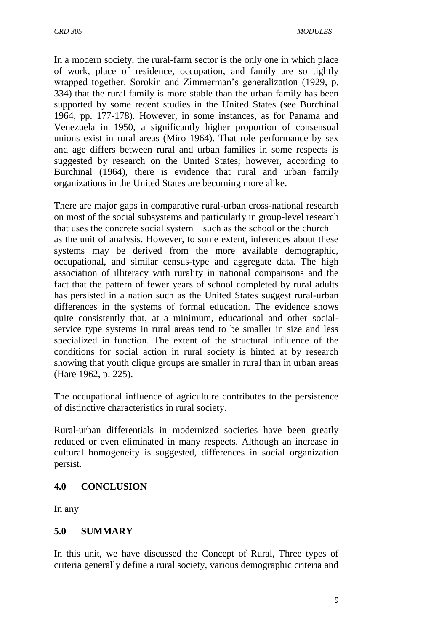In a modern society, the rural-farm sector is the only one in which place of work, place of residence, occupation, and family are so tightly wrapped together. Sorokin and Zimmerman's generalization (1929, p. 334) that the rural family is more stable than the urban family has been supported by some recent studies in the United States (see Burchinal 1964, pp. 177-178). However, in some instances, as for Panama and Venezuela in 1950, a significantly higher proportion of consensual unions exist in rural areas (Miro 1964). That role performance by sex and age differs between rural and urban families in some respects is suggested by research on the United States; however, according to Burchinal (1964), there is evidence that rural and urban family organizations in the United States are becoming more alike.

There are major gaps in comparative rural-urban cross-national research on most of the social subsystems and particularly in group-level research that uses the concrete social system—such as the school or the church as the unit of analysis. However, to some extent, inferences about these systems may be derived from the more available demographic, occupational, and similar census-type and aggregate data. The high association of illiteracy with rurality in national comparisons and the fact that the pattern of fewer years of school completed by rural adults has persisted in a nation such as the United States suggest rural-urban differences in the systems of formal education. The evidence shows quite consistently that, at a minimum, educational and other socialservice type systems in rural areas tend to be smaller in size and less specialized in function. The extent of the structural influence of the conditions for social action in rural society is hinted at by research showing that youth clique groups are smaller in rural than in urban areas (Hare 1962, p. 225).

The occupational influence of agriculture contributes to the persistence of distinctive characteristics in rural society.

Rural-urban differentials in modernized societies have been greatly reduced or even eliminated in many respects. Although an increase in cultural homogeneity is suggested, differences in social organization persist.

#### **4.0 CONCLUSION**

In any

#### **5.0 SUMMARY**

In this unit, we have discussed the Concept of Rural, Three types of criteria generally define a rural society, various demographic criteria and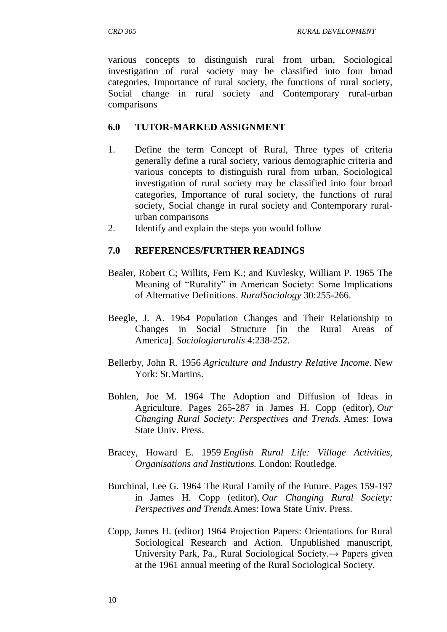various concepts to distinguish rural from urban, Sociological investigation of rural society may be classified into four broad categories, Importance of rural society, the functions of rural society, Social change in rural society and Contemporary rural-urban comparisons

#### **6.0 TUTOR-MARKED ASSIGNMENT**

- 1. Define the term Concept of Rural, Three types of criteria generally define a rural society, various demographic criteria and various concepts to distinguish rural from urban, Sociological investigation of rural society may be classified into four broad categories, Importance of rural society, the functions of rural society, Social change in rural society and Contemporary ruralurban comparisons
- 2. Identify and explain the steps you would follow

#### **7.0 REFERENCES/FURTHER READINGS**

- Bealer, Robert C; Willits, Fern K.; and Kuvlesky, William P. 1965 The Meaning of "Rurality" in American Society: Some Implications of Alternative Definitions. *RuralSociology* 30:255-266.
- Beegle, J. A. 1964 Population Changes and Their Relationship to Changes in Social Structure [in the Rural Areas of America]. *Sociologiaruralis* 4:238-252.
- Bellerby, John R. 1956 *Agriculture and Industry Relative Income.* New York: St.Martins.
- Bohlen, Joe M. 1964 The Adoption and Diffusion of Ideas in Agriculture. Pages 265-287 in James H. Copp (editor), *Our Changing Rural Society: Perspectives and Trends.* Ames: Iowa State Univ. Press.
- Bracey, Howard E. 1959 *English Rural Life: Village Activities, Organisations and Institutions.* London: Routledge.
- Burchinal, Lee G. 1964 The Rural Family of the Future. Pages 159-197 in James H. Copp (editor), *Our Changing Rural Society: Perspectives and Trends.*Ames: Iowa State Univ. Press.
- Copp, James H. (editor) 1964 Projection Papers: Orientations for Rural Sociological Research and Action. Unpublished manuscript, University Park, Pa., Rural Sociological Society.→ Papers given at the 1961 annual meeting of the Rural Sociological Society.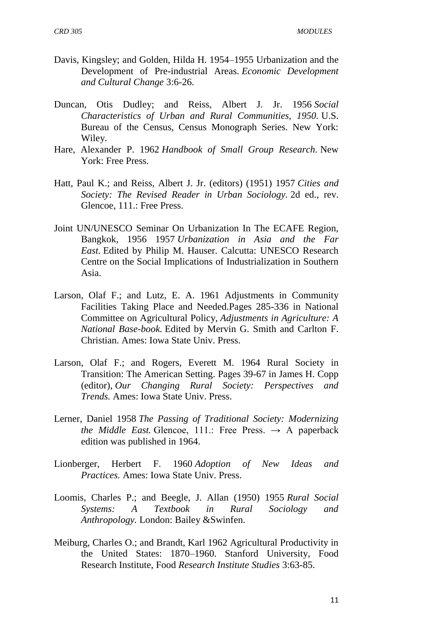- Davis, Kingsley; and Golden, Hilda H. 1954–1955 Urbanization and the Development of Pre-industrial Areas. *Economic Development and Cultural Change* 3:6-26.
- Duncan, Otis Dudley; and Reiss, Albert J. Jr. 1956 *Social Characteristics of Urban and Rural Communities, 1950.* U.S. Bureau of the Census, Census Monograph Series. New York: Wiley.
- Hare, Alexander P. 1962 *Handbook of Small Group Research.* New York: Free Press.
- Hatt, Paul K.; and Reiss, Albert J. Jr. (editors) (1951) 1957 *Cities and Society: The Revised Reader in Urban Sociology.* 2d ed., rev. Glencoe, 111.: Free Press.
- Joint UN/UNESCO Seminar On Urbanization In The ECAFE Region, Bangkok, 1956 1957 *Urbanization in Asia and the Far East.* Edited by Philip M. Hauser. Calcutta: UNESCO Research Centre on the Social Implications of Industrialization in Southern Asia.
- Larson, Olaf F.; and Lutz, E. A. 1961 Adjustments in Community Facilities Taking Place and Needed.Pages 285-336 in National Committee on Agricultural Policy, *Adjustments in Agriculture: A National Base-book.* Edited by Mervin G. Smith and Carlton F. Christian. Ames: Iowa State Univ. Press.
- Larson, Olaf F.; and Rogers, Everett M. 1964 Rural Society in Transition: The American Setting. Pages 39-67 in James H. Copp (editor), *Our Changing Rural Society: Perspectives and Trends.* Ames: Iowa State Univ. Press.
- Lerner, Daniel 1958 *The Passing of Traditional Society: Modernizing the Middle East.* Glencoe, 111.: Free Press.  $\rightarrow$  A paperback edition was published in 1964.
- Lionberger, Herbert F. 1960 *Adoption of New Ideas and Practices.* Ames: Iowa State Univ. Press.
- Loomis, Charles P.; and Beegle, J. Allan (1950) 1955 *Rural Social Systems: A Textbook in Rural Sociology and Anthropology.* London: Bailey &Swinfen.
- Meiburg, Charles O.; and Brandt, Karl 1962 Agricultural Productivity in the United States: 1870–1960. Stanford University, Food Research Institute, Food *Research Institute Studies* 3:63-85.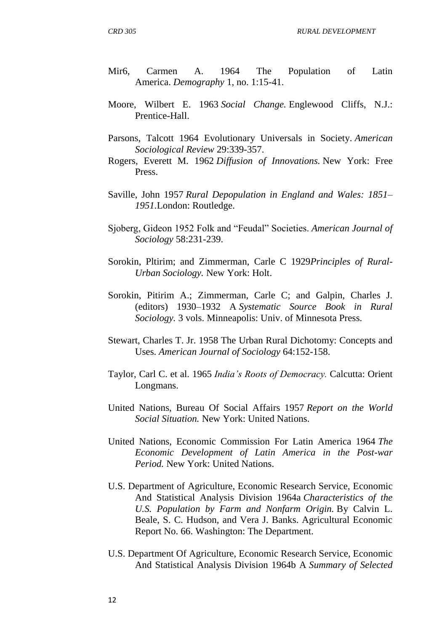- Mir6, Carmen A. 1964 The Population of Latin America. *Demography* 1, no. 1:15-41.
- Moore, Wilbert E. 1963 *Social Change.* Englewood Cliffs, N.J.: Prentice-Hall.
- Parsons, Talcott 1964 Evolutionary Universals in Society. *American Sociological Review* 29:339-357.
- Rogers, Everett M. 1962 *Diffusion of Innovations.* New York: Free Press.
- Saville, John 1957 *Rural Depopulation in England and Wales: 1851– 1951.*London: Routledge.
- Sjoberg, Gideon 1952 Folk and "Feudal" Societies. *American Journal of Sociology* 58:231-239.
- Sorokin, Pltirim; and Zimmerman, Carle C 1929*Principles of Rural-Urban Sociology.* New York: Holt.
- Sorokin, Pitirim A.; Zimmerman, Carle C; and Galpin, Charles J. (editors) 1930–1932 A *Systematic Source Book in Rural Sociology.* 3 vols. Minneapolis: Univ. of Minnesota Press.
- Stewart, Charles T. Jr. 1958 The Urban Rural Dichotomy: Concepts and Uses. *American Journal of Sociology* 64:152-158.
- Taylor, Carl C. et al. 1965 *India's Roots of Democracy.* Calcutta: Orient Longmans.
- United Nations, Bureau Of Social Affairs 1957 *Report on the World Social Situation.* New York: United Nations.
- United Nations, Economic Commission For Latin America 1964 *The Economic Development of Latin America in the Post-war Period.* New York: United Nations.
- U.S. Department of Agriculture, Economic Research Service, Economic And Statistical Analysis Division 1964a *Characteristics of the U.S. Population by Farm and Nonfarm Origin.* By Calvin L. Beale, S. C. Hudson, and Vera J. Banks. Agricultural Economic Report No. 66. Washington: The Department.
- U.S. Department Of Agriculture, Economic Research Service, Economic And Statistical Analysis Division 1964b A *Summary of Selected*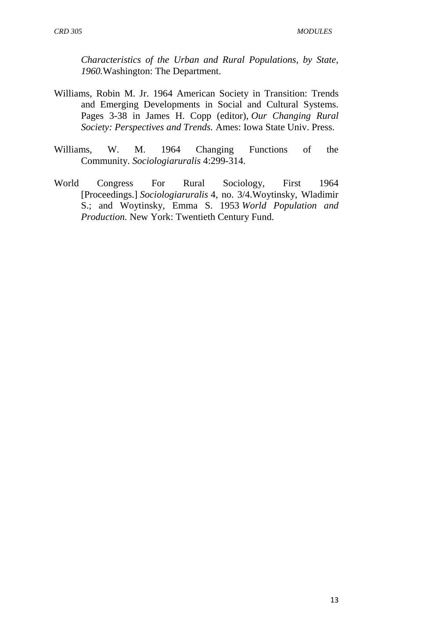*Characteristics of the Urban and Rural Populations, by State, 1960.*Washington: The Department.

- Williams, Robin M. Jr. 1964 American Society in Transition: Trends and Emerging Developments in Social and Cultural Systems. Pages 3-38 in James H. Copp (editor), *Our Changing Rural Society: Perspectives and Trends.* Ames: Iowa State Univ. Press.
- Williams, W. M. 1964 Changing Functions of the Community. *Sociologiaruralis* 4:299-314.
- World Congress For Rural Sociology, First 1964 [Proceedings.] *Sociologiaruralis* 4, no. 3/4.Woytinsky, Wladimir S.; and Woytinsky, Emma S. 1953 *World Population and Production.* New York: Twentieth Century Fund.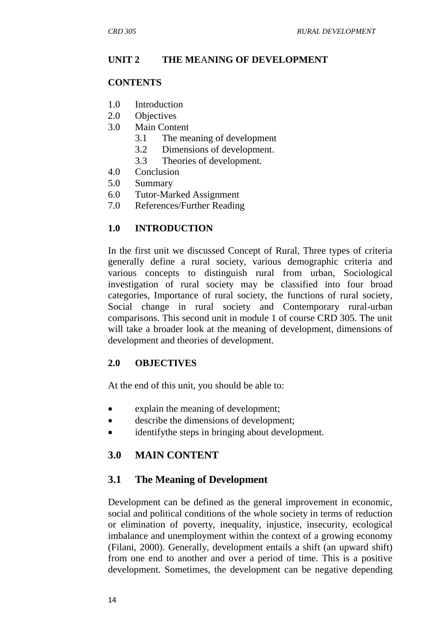## **UNIT 2 THE ME**A**NING OF DEVELOPMENT**

#### **CONTENTS**

- 1.0 Introduction
- 2.0 Objectives
- 3.0 Main Content
	- 3.1 The meaning of development
	- 3.2 Dimensions of development.
	- 3.3 Theories of development.
- 4.0 Conclusion
- 5.0 Summary
- 6.0 Tutor-Marked Assignment
- 7.0 References/Further Reading

## **1.0 INTRODUCTION**

In the first unit we discussed Concept of Rural, Three types of criteria generally define a rural society, various demographic criteria and various concepts to distinguish rural from urban, Sociological investigation of rural society may be classified into four broad categories, Importance of rural society, the functions of rural society, Social change in rural society and Contemporary rural-urban comparisons. This second unit in module 1 of course CRD 305. The unit will take a broader look at the meaning of development, dimensions of development and theories of development.

#### **2.0 OBJECTIVES**

At the end of this unit, you should be able to:

- explain the meaning of development;
- describe the dimensions of development;
- identifythe steps in bringing about development.

## **3.0 MAIN CONTENT**

#### **3.1 The Meaning of Development**

Development can be defined as the general improvement in economic, social and political conditions of the whole society in terms of reduction or elimination of poverty, inequality, injustice, insecurity, ecological imbalance and unemployment within the context of a growing economy (Filani, 2000). Generally, development entails a shift (an upward shift) from one end to another and over a period of time. This is a positive development. Sometimes, the development can be negative depending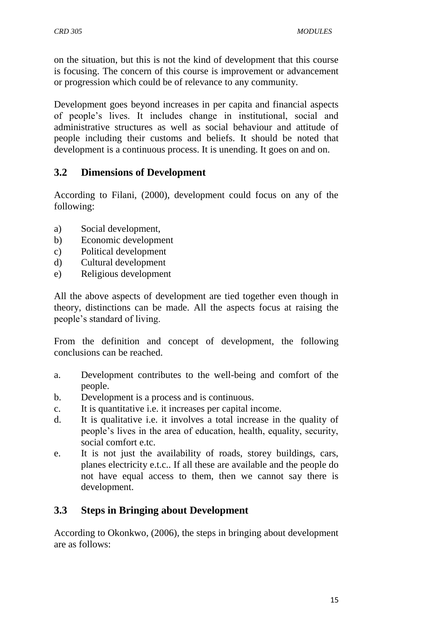on the situation, but this is not the kind of development that this course is focusing. The concern of this course is improvement or advancement or progression which could be of relevance to any community.

Development goes beyond increases in per capita and financial aspects of people's lives. It includes change in institutional, social and administrative structures as well as social behaviour and attitude of people including their customs and beliefs. It should be noted that development is a continuous process. It is unending. It goes on and on.

## **3.2 Dimensions of Development**

According to Filani, (2000), development could focus on any of the following:

- a) Social development,
- b) Economic development
- c) Political development
- d) Cultural development
- e) Religious development

All the above aspects of development are tied together even though in theory, distinctions can be made. All the aspects focus at raising the people's standard of living.

From the definition and concept of development, the following conclusions can be reached.

- a. Development contributes to the well-being and comfort of the people.
- b. Development is a process and is continuous.
- c. It is quantitative i.e. it increases per capital income.
- d. It is qualitative i.e. it involves a total increase in the quality of people's lives in the area of education, health, equality, security, social comfort e.tc.
- e. It is not just the availability of roads, storey buildings, cars, planes electricity e.t.c.. If all these are available and the people do not have equal access to them, then we cannot say there is development.

# **3.3 Steps in Bringing about Development**

According to Okonkwo, (2006), the steps in bringing about development are as follows: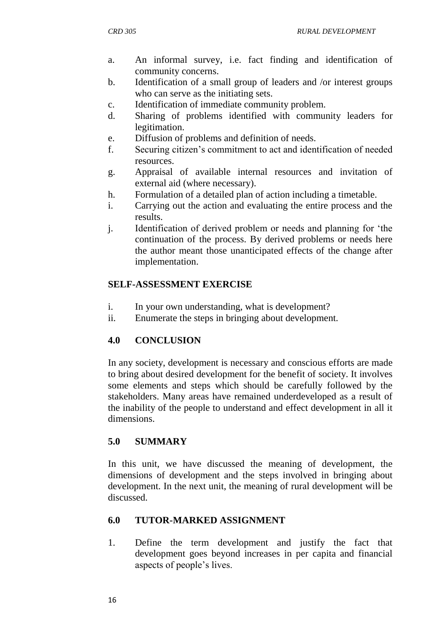- a. An informal survey, i.e. fact finding and identification of community concerns.
- b. Identification of a small group of leaders and /or interest groups who can serve as the initiating sets.
- c. Identification of immediate community problem.
- d. Sharing of problems identified with community leaders for legitimation.
- e. Diffusion of problems and definition of needs.
- f. Securing citizen's commitment to act and identification of needed resources.
- g. Appraisal of available internal resources and invitation of external aid (where necessary).
- h. Formulation of a detailed plan of action including a timetable.
- i. Carrying out the action and evaluating the entire process and the results.
- j. Identification of derived problem or needs and planning for 'the continuation of the process. By derived problems or needs here the author meant those unanticipated effects of the change after implementation.

## **SELF-ASSESSMENT EXERCISE**

- i. In your own understanding, what is development?
- ii. Enumerate the steps in bringing about development.

## **4.0 CONCLUSION**

In any society, development is necessary and conscious efforts are made to bring about desired development for the benefit of society. It involves some elements and steps which should be carefully followed by the stakeholders. Many areas have remained underdeveloped as a result of the inability of the people to understand and effect development in all it dimensions.

## **5.0 SUMMARY**

In this unit, we have discussed the meaning of development, the dimensions of development and the steps involved in bringing about development. In the next unit, the meaning of rural development will be discussed.

## **6.0 TUTOR-MARKED ASSIGNMENT**

1. Define the term development and justify the fact that development goes beyond increases in per capita and financial aspects of people's lives.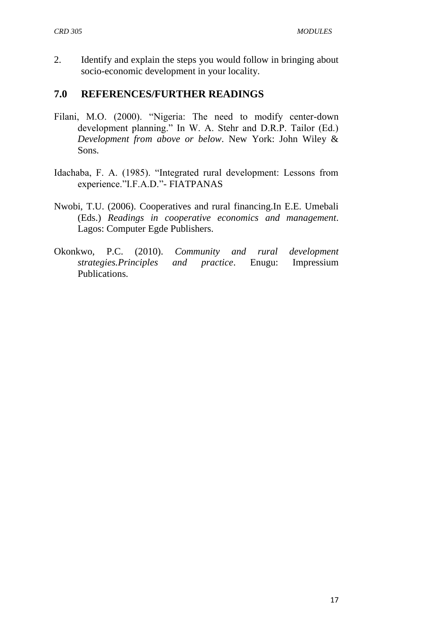2. Identify and explain the steps you would follow in bringing about socio-economic development in your locality.

## **7.0 REFERENCES/FURTHER READINGS**

- Filani, M.O. (2000). "Nigeria: The need to modify center-down development planning." In W. A. Stehr and D.R.P. Tailor (Ed.) *Development from above or below*. New York: John Wiley & Sons.
- Idachaba, F. A. (1985). "Integrated rural development: Lessons from experience."I.F.A.D."- FIATPANAS
- Nwobi, T.U. (2006). Cooperatives and rural financing.In E.E. Umebali (Eds.) *Readings in cooperative economics and management*. Lagos: Computer Egde Publishers.
- Okonkwo, P.C. (2010). *Community and rural development strategies.Principles and practice*. Enugu: Impressium Publications.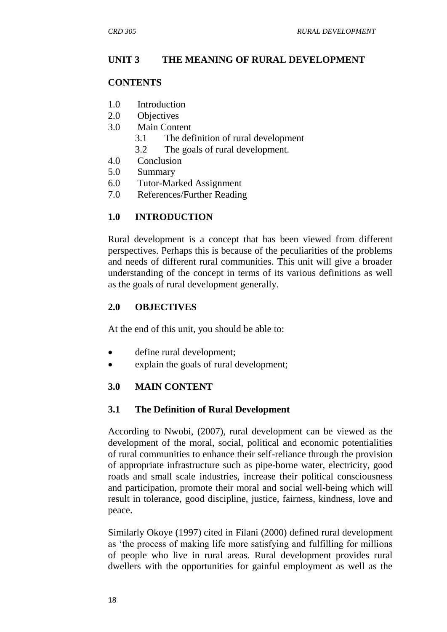## **UNIT 3 THE MEANING OF RURAL DEVELOPMENT**

#### **CONTENTS**

- 1.0 Introduction
- 2.0 Objectives
- 3.0 Main Content
	- 3.1 The definition of rural development
	- 3.2 The goals of rural development.
- 4.0 Conclusion
- 5.0 Summary
- 6.0 Tutor-Marked Assignment
- 7.0 References/Further Reading

## **1.0 INTRODUCTION**

Rural development is a concept that has been viewed from different perspectives. Perhaps this is because of the peculiarities of the problems and needs of different rural communities. This unit will give a broader understanding of the concept in terms of its various definitions as well as the goals of rural development generally.

## **2.0 OBJECTIVES**

At the end of this unit, you should be able to:

- define rural development;
- explain the goals of rural development;

## **3.0 MAIN CONTENT**

#### **3.1 The Definition of Rural Development**

According to Nwobi, (2007), rural development can be viewed as the development of the moral, social, political and economic potentialities of rural communities to enhance their self-reliance through the provision of appropriate infrastructure such as pipe-borne water, electricity, good roads and small scale industries, increase their political consciousness and participation, promote their moral and social well-being which will result in tolerance, good discipline, justice, fairness, kindness, love and peace.

Similarly Okoye (1997) cited in Filani (2000) defined rural development as 'the process of making life more satisfying and fulfilling for millions of people who live in rural areas. Rural development provides rural dwellers with the opportunities for gainful employment as well as the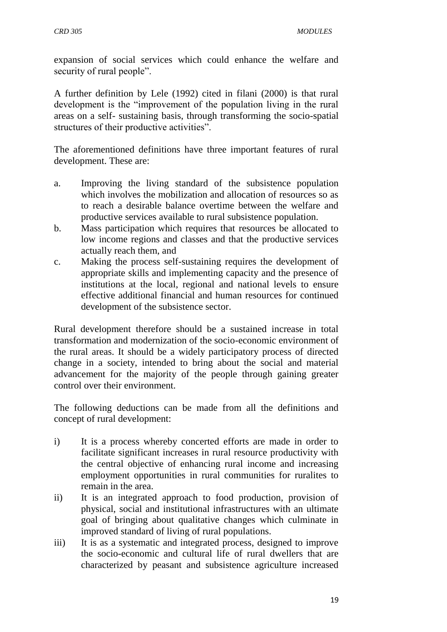expansion of social services which could enhance the welfare and security of rural people".

A further definition by Lele (1992) cited in filani (2000) is that rural development is the "improvement of the population living in the rural areas on a self- sustaining basis, through transforming the socio-spatial structures of their productive activities".

The aforementioned definitions have three important features of rural development. These are:

- a. Improving the living standard of the subsistence population which involves the mobilization and allocation of resources so as to reach a desirable balance overtime between the welfare and productive services available to rural subsistence population.
- b. Mass participation which requires that resources be allocated to low income regions and classes and that the productive services actually reach them, and
- c. Making the process self-sustaining requires the development of appropriate skills and implementing capacity and the presence of institutions at the local, regional and national levels to ensure effective additional financial and human resources for continued development of the subsistence sector.

Rural development therefore should be a sustained increase in total transformation and modernization of the socio-economic environment of the rural areas. It should be a widely participatory process of directed change in a society, intended to bring about the social and material advancement for the majority of the people through gaining greater control over their environment.

The following deductions can be made from all the definitions and concept of rural development:

- i) It is a process whereby concerted efforts are made in order to facilitate significant increases in rural resource productivity with the central objective of enhancing rural income and increasing employment opportunities in rural communities for ruralites to remain in the area.
- ii) It is an integrated approach to food production, provision of physical, social and institutional infrastructures with an ultimate goal of bringing about qualitative changes which culminate in improved standard of living of rural populations.
- iii) It is as a systematic and integrated process, designed to improve the socio-economic and cultural life of rural dwellers that are characterized by peasant and subsistence agriculture increased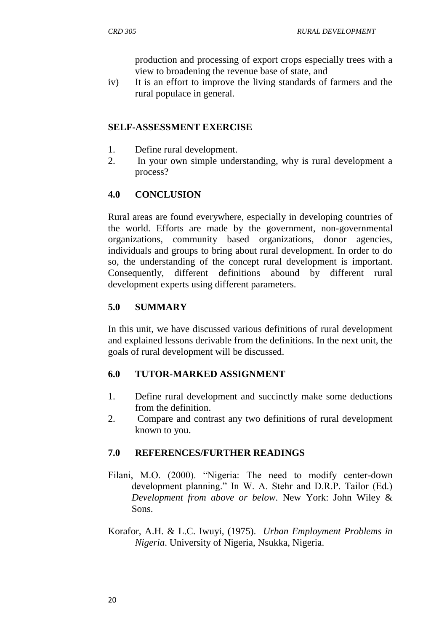production and processing of export crops especially trees with a view to broadening the revenue base of state, and

iv) It is an effort to improve the living standards of farmers and the rural populace in general.

#### **SELF-ASSESSMENT EXERCISE**

- 1. Define rural development.
- 2. In your own simple understanding, why is rural development a process?

## **4.0 CONCLUSION**

Rural areas are found everywhere, especially in developing countries of the world. Efforts are made by the government, non-governmental organizations, community based organizations, donor agencies, individuals and groups to bring about rural development. In order to do so, the understanding of the concept rural development is important. Consequently, different definitions abound by different rural development experts using different parameters.

## **5.0 SUMMARY**

In this unit, we have discussed various definitions of rural development and explained lessons derivable from the definitions. In the next unit, the goals of rural development will be discussed.

#### **6.0 TUTOR-MARKED ASSIGNMENT**

- 1. Define rural development and succinctly make some deductions from the definition.
- 2. Compare and contrast any two definitions of rural development known to you.

#### **7.0 REFERENCES/FURTHER READINGS**

- Filani, M.O. (2000). "Nigeria: The need to modify center-down development planning." In W. A. Stehr and D.R.P. Tailor (Ed.) *Development from above or below*. New York: John Wiley & Sons.
- Korafor, A.H. & L.C. Iwuyi, (1975). *Urban Employment Problems in Nigeria*. University of Nigeria, Nsukka, Nigeria.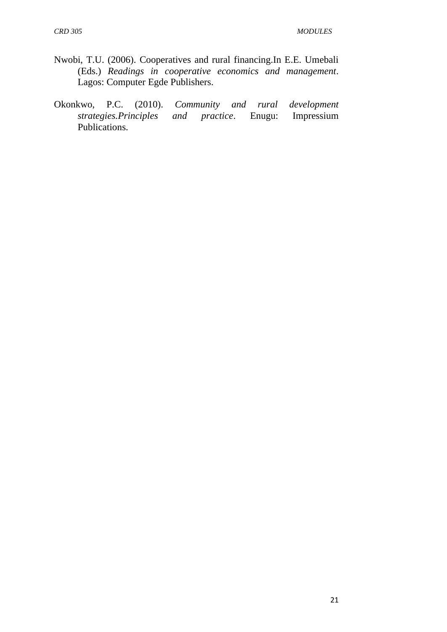- Nwobi, T.U. (2006). Cooperatives and rural financing.In E.E. Umebali (Eds.) *Readings in cooperative economics and management*. Lagos: Computer Egde Publishers.
- Okonkwo, P.C. (2010). *Community and rural development strategies.Principles and practice.* Enugu: Publications.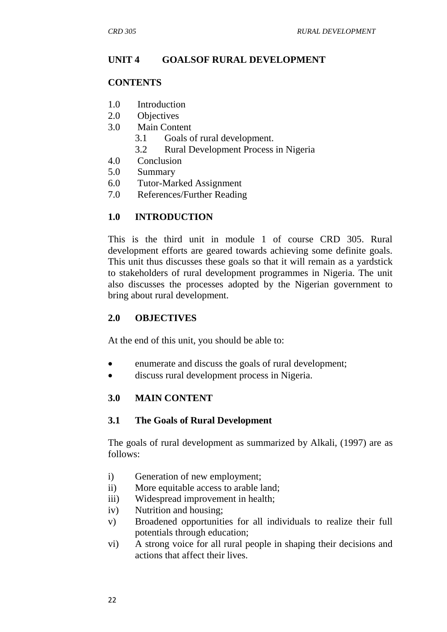## **UNIT 4 GOALSOF RURAL DEVELOPMENT**

#### **CONTENTS**

- 1.0 Introduction
- 2.0 Objectives
- 3.0 Main Content
	- 3.1 Goals of rural development.
	- 3.2 Rural Development Process in Nigeria
- 4.0 Conclusion
- 5.0 Summary
- 6.0 Tutor-Marked Assignment
- 7.0 References/Further Reading

#### **1.0 INTRODUCTION**

This is the third unit in module 1 of course CRD 305. Rural development efforts are geared towards achieving some definite goals. This unit thus discusses these goals so that it will remain as a yardstick to stakeholders of rural development programmes in Nigeria. The unit also discusses the processes adopted by the Nigerian government to bring about rural development.

#### **2.0 OBJECTIVES**

At the end of this unit, you should be able to:

- enumerate and discuss the goals of rural development;
- discuss rural development process in Nigeria.

#### **3.0 MAIN CONTENT**

#### **3.1 The Goals of Rural Development**

The goals of rural development as summarized by Alkali, (1997) are as follows:

- i) Generation of new employment;
- ii) More equitable access to arable land;
- iii) Widespread improvement in health;
- iv) Nutrition and housing;
- v) Broadened opportunities for all individuals to realize their full potentials through education;
- vi) A strong voice for all rural people in shaping their decisions and actions that affect their lives.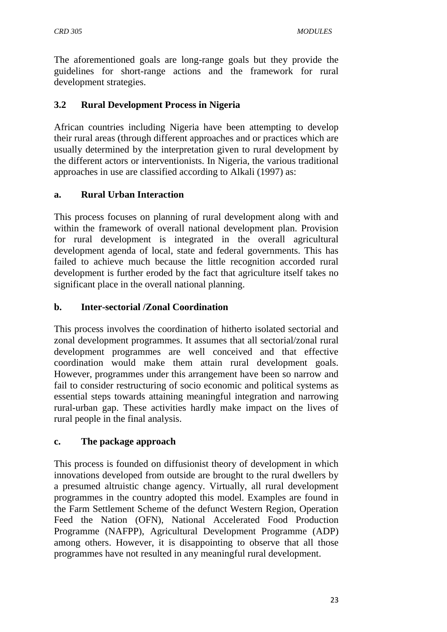The aforementioned goals are long-range goals but they provide the guidelines for short-range actions and the framework for rural development strategies.

## **3.2 Rural Development Process in Nigeria**

African countries including Nigeria have been attempting to develop their rural areas (through different approaches and or practices which are usually determined by the interpretation given to rural development by the different actors or interventionists. In Nigeria, the various traditional approaches in use are classified according to Alkali (1997) as:

## **a. Rural Urban Interaction**

This process focuses on planning of rural development along with and within the framework of overall national development plan. Provision for rural development is integrated in the overall agricultural development agenda of local, state and federal governments. This has failed to achieve much because the little recognition accorded rural development is further eroded by the fact that agriculture itself takes no significant place in the overall national planning.

## **b. Inter-sectorial /Zonal Coordination**

This process involves the coordination of hitherto isolated sectorial and zonal development programmes. It assumes that all sectorial/zonal rural development programmes are well conceived and that effective coordination would make them attain rural development goals. However, programmes under this arrangement have been so narrow and fail to consider restructuring of socio economic and political systems as essential steps towards attaining meaningful integration and narrowing rural-urban gap. These activities hardly make impact on the lives of rural people in the final analysis.

#### **c. The package approach**

This process is founded on diffusionist theory of development in which innovations developed from outside are brought to the rural dwellers by a presumed altruistic change agency. Virtually, all rural development programmes in the country adopted this model. Examples are found in the Farm Settlement Scheme of the defunct Western Region, Operation Feed the Nation (OFN), National Accelerated Food Production Programme (NAFPP), Agricultural Development Programme (ADP) among others. However, it is disappointing to observe that all those programmes have not resulted in any meaningful rural development.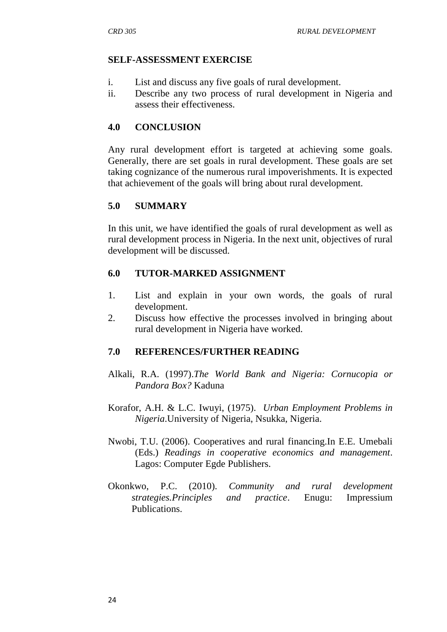#### **SELF-ASSESSMENT EXERCISE**

- i. List and discuss any five goals of rural development.
- ii. Describe any two process of rural development in Nigeria and assess their effectiveness.

## **4.0 CONCLUSION**

Any rural development effort is targeted at achieving some goals. Generally, there are set goals in rural development. These goals are set taking cognizance of the numerous rural impoverishments. It is expected that achievement of the goals will bring about rural development.

## **5.0 SUMMARY**

In this unit, we have identified the goals of rural development as well as rural development process in Nigeria. In the next unit, objectives of rural development will be discussed.

## **6.0 TUTOR-MARKED ASSIGNMENT**

- 1. List and explain in your own words, the goals of rural development.
- 2. Discuss how effective the processes involved in bringing about rural development in Nigeria have worked.

#### **7.0 REFERENCES/FURTHER READING**

- Alkali, R.A. (1997).*The World Bank and Nigeria: Cornucopia or Pandora Box?* Kaduna
- Korafor, A.H. & L.C. Iwuyi, (1975). *Urban Employment Problems in Nigeria*.University of Nigeria, Nsukka, Nigeria.
- Nwobi, T.U. (2006). Cooperatives and rural financing.In E.E. Umebali (Eds.) *Readings in cooperative economics and management*. Lagos: Computer Egde Publishers.
- Okonkwo, P.C. (2010). *Community and rural development strategies.Principles and practice*. Enugu: Impressium Publications.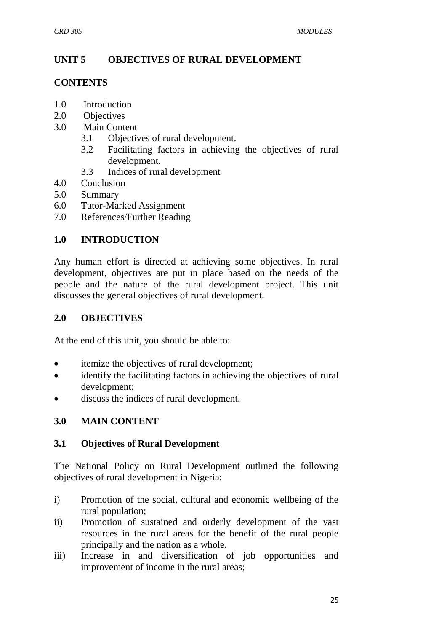## **UNIT 5 OBJECTIVES OF RURAL DEVELOPMENT**

#### **CONTENTS**

- 1.0 Introduction
- 2.0 Objectives
- 3.0 Main Content
	- 3.1 Objectives of rural development.
	- 3.2 Facilitating factors in achieving the objectives of rural development.
	- 3.3 Indices of rural development
- 4.0 Conclusion
- 5.0 Summary
- 6.0 Tutor-Marked Assignment
- 7.0 References/Further Reading

## **1.0 INTRODUCTION**

Any human effort is directed at achieving some objectives. In rural development, objectives are put in place based on the needs of the people and the nature of the rural development project. This unit discusses the general objectives of rural development.

#### **2.0 OBJECTIVES**

At the end of this unit, you should be able to:

- itemize the objectives of rural development;
- identify the facilitating factors in achieving the objectives of rural development;
- discuss the indices of rural development.

## **3.0 MAIN CONTENT**

#### **3.1 Objectives of Rural Development**

The National Policy on Rural Development outlined the following objectives of rural development in Nigeria:

- i) Promotion of the social, cultural and economic wellbeing of the rural population;
- ii) Promotion of sustained and orderly development of the vast resources in the rural areas for the benefit of the rural people principally and the nation as a whole.
- iii) Increase in and diversification of job opportunities and improvement of income in the rural areas;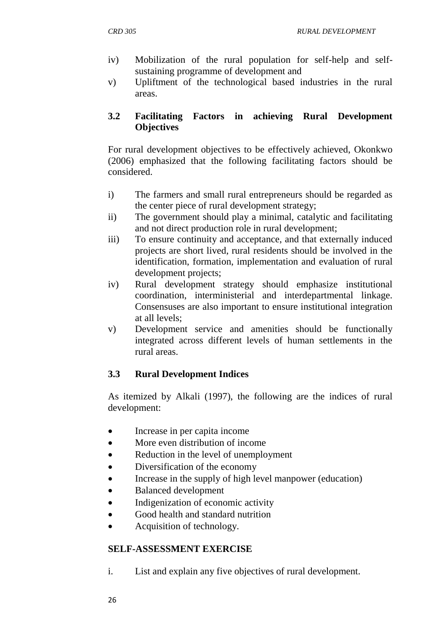- iv) Mobilization of the rural population for self-help and selfsustaining programme of development and
- v) Upliftment of the technological based industries in the rural areas.

## **3.2 Facilitating Factors in achieving Rural Development Objectives**

For rural development objectives to be effectively achieved, Okonkwo (2006) emphasized that the following facilitating factors should be considered.

- i) The farmers and small rural entrepreneurs should be regarded as the center piece of rural development strategy;
- ii) The government should play a minimal, catalytic and facilitating and not direct production role in rural development;
- iii) To ensure continuity and acceptance, and that externally induced projects are short lived, rural residents should be involved in the identification, formation, implementation and evaluation of rural development projects;
- iv) Rural development strategy should emphasize institutional coordination, interministerial and interdepartmental linkage. Consensuses are also important to ensure institutional integration at all levels;
- v) Development service and amenities should be functionally integrated across different levels of human settlements in the rural areas.

# **3.3 Rural Development Indices**

As itemized by Alkali (1997), the following are the indices of rural development:

- Increase in per capita income
- More even distribution of income
- Reduction in the level of unemployment
- Diversification of the economy
- Increase in the supply of high level manpower (education)
- Balanced development
- Indigenization of economic activity
- Good health and standard nutrition
- Acquisition of technology.

# **SELF-ASSESSMENT EXERCISE**

i. List and explain any five objectives of rural development.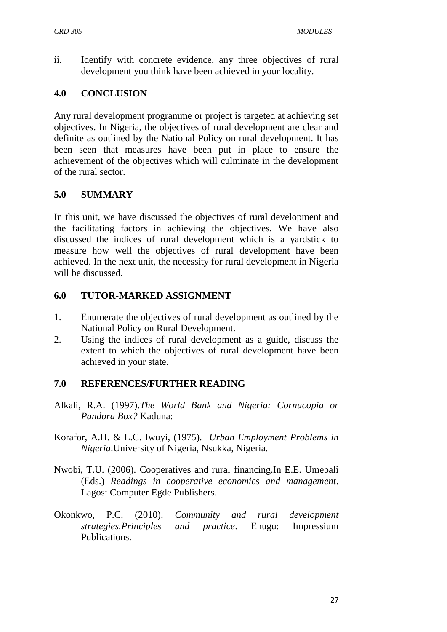ii. Identify with concrete evidence, any three objectives of rural development you think have been achieved in your locality.

## **4.0 CONCLUSION**

Any rural development programme or project is targeted at achieving set objectives. In Nigeria, the objectives of rural development are clear and definite as outlined by the National Policy on rural development. It has been seen that measures have been put in place to ensure the achievement of the objectives which will culminate in the development of the rural sector.

## **5.0 SUMMARY**

In this unit, we have discussed the objectives of rural development and the facilitating factors in achieving the objectives. We have also discussed the indices of rural development which is a yardstick to measure how well the objectives of rural development have been achieved. In the next unit, the necessity for rural development in Nigeria will be discussed.

## **6.0 TUTOR-MARKED ASSIGNMENT**

- 1. Enumerate the objectives of rural development as outlined by the National Policy on Rural Development.
- 2. Using the indices of rural development as a guide, discuss the extent to which the objectives of rural development have been achieved in your state.

## **7.0 REFERENCES/FURTHER READING**

- Alkali, R.A. (1997).*The World Bank and Nigeria: Cornucopia or Pandora Box?* Kaduna:
- Korafor, A.H. & L.C. Iwuyi, (1975). *Urban Employment Problems in Nigeria*.University of Nigeria, Nsukka, Nigeria.
- Nwobi, T.U. (2006). Cooperatives and rural financing.In E.E. Umebali (Eds.) *Readings in cooperative economics and management*. Lagos: Computer Egde Publishers.
- Okonkwo, P.C. (2010). *Community and rural development strategies.Principles and practice*. Enugu: Impressium Publications.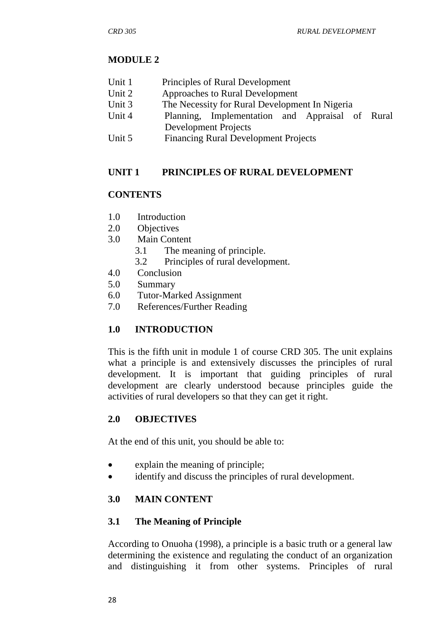## **MODULE 2**

| Unit 1 | Principles of Rural Development |  |
|--------|---------------------------------|--|
|--------|---------------------------------|--|

- Unit 2 Approaches to Rural Development
- Unit 3 The Necessity for Rural Development In Nigeria
- Unit 4 Planning, Implementation and Appraisal of Rural Development Projects
- Unit 5 Financing Rural Development Projects

## **UNIT 1 PRINCIPLES OF RURAL DEVELOPMENT**

## **CONTENTS**

- 1.0 Introduction
- 2.0 Objectives
- 3.0 Main Content
	- 3.1 The meaning of principle.
	- 3.2 Principles of rural development.
- 4.0 Conclusion
- 5.0 Summary
- 6.0 Tutor-Marked Assignment
- 7.0 References/Further Reading

## **1.0 INTRODUCTION**

This is the fifth unit in module 1 of course CRD 305. The unit explains what a principle is and extensively discusses the principles of rural development. It is important that guiding principles of rural development are clearly understood because principles guide the activities of rural developers so that they can get it right.

## **2.0 OBJECTIVES**

At the end of this unit, you should be able to:

- explain the meaning of principle;
- identify and discuss the principles of rural development.

## **3.0 MAIN CONTENT**

## **3.1 The Meaning of Principle**

According to Onuoha (1998), a principle is a basic truth or a general law determining the existence and regulating the conduct of an organization and distinguishing it from other systems. Principles of rural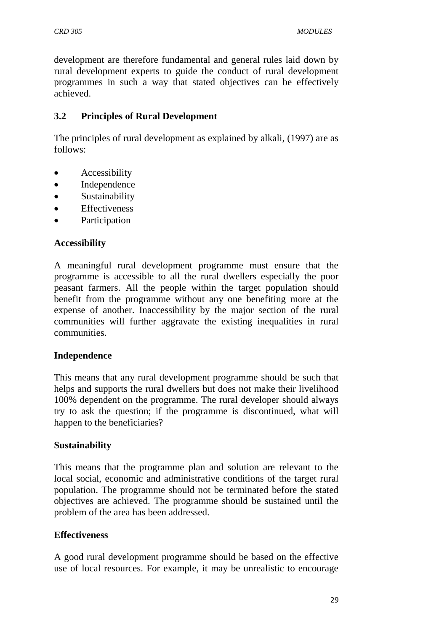development are therefore fundamental and general rules laid down by rural development experts to guide the conduct of rural development programmes in such a way that stated objectives can be effectively achieved.

## **3.2 Principles of Rural Development**

The principles of rural development as explained by alkali, (1997) are as follows:

- Accessibility
- Independence
- Sustainability
- Effectiveness
- Participation

## **Accessibility**

A meaningful rural development programme must ensure that the programme is accessible to all the rural dwellers especially the poor peasant farmers. All the people within the target population should benefit from the programme without any one benefiting more at the expense of another. Inaccessibility by the major section of the rural communities will further aggravate the existing inequalities in rural communities.

## **Independence**

This means that any rural development programme should be such that helps and supports the rural dwellers but does not make their livelihood 100% dependent on the programme. The rural developer should always try to ask the question; if the programme is discontinued, what will happen to the beneficiaries?

## **Sustainability**

This means that the programme plan and solution are relevant to the local social, economic and administrative conditions of the target rural population. The programme should not be terminated before the stated objectives are achieved. The programme should be sustained until the problem of the area has been addressed.

## **Effectiveness**

A good rural development programme should be based on the effective use of local resources. For example, it may be unrealistic to encourage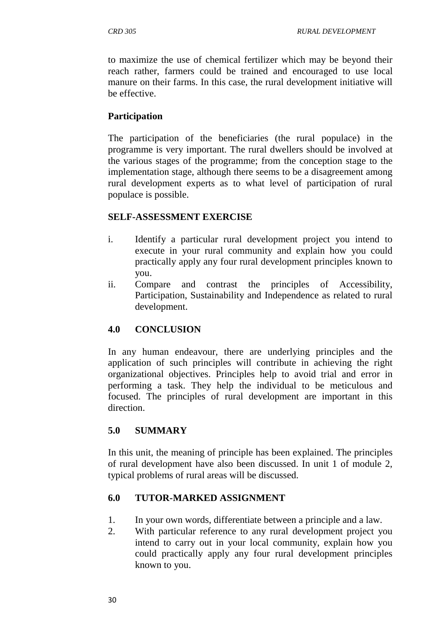to maximize the use of chemical fertilizer which may be beyond their reach rather, farmers could be trained and encouraged to use local manure on their farms. In this case, the rural development initiative will be effective.

## **Participation**

The participation of the beneficiaries (the rural populace) in the programme is very important. The rural dwellers should be involved at the various stages of the programme; from the conception stage to the implementation stage, although there seems to be a disagreement among rural development experts as to what level of participation of rural populace is possible.

### **SELF-ASSESSMENT EXERCISE**

- i. Identify a particular rural development project you intend to execute in your rural community and explain how you could practically apply any four rural development principles known to you.
- ii. Compare and contrast the principles of Accessibility, Participation, Sustainability and Independence as related to rural development.

## **4.0 CONCLUSION**

In any human endeavour, there are underlying principles and the application of such principles will contribute in achieving the right organizational objectives. Principles help to avoid trial and error in performing a task. They help the individual to be meticulous and focused. The principles of rural development are important in this direction.

## **5.0 SUMMARY**

In this unit, the meaning of principle has been explained. The principles of rural development have also been discussed. In unit 1 of module 2, typical problems of rural areas will be discussed.

## **6.0 TUTOR-MARKED ASSIGNMENT**

- 1. In your own words, differentiate between a principle and a law.
- 2. With particular reference to any rural development project you intend to carry out in your local community, explain how you could practically apply any four rural development principles known to you.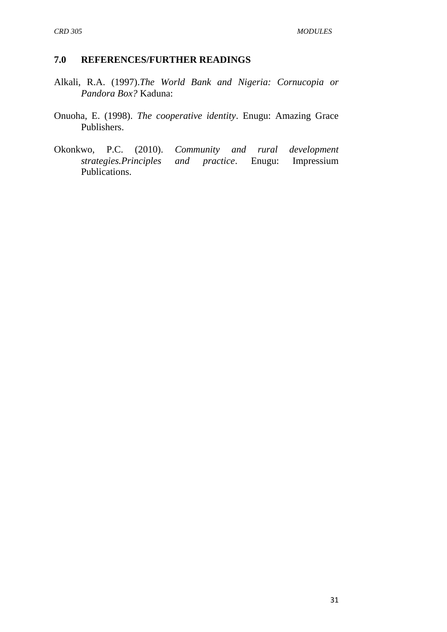#### **7.0 REFERENCES/FURTHER READINGS**

- Alkali, R.A. (1997).*The World Bank and Nigeria: Cornucopia or Pandora Box?* Kaduna:
- Onuoha, E. (1998). *The cooperative identity*. Enugu: Amazing Grace Publishers.
- Okonkwo, P.C. (2010). *Community and rural development strategies.Principles and practice.* Publications.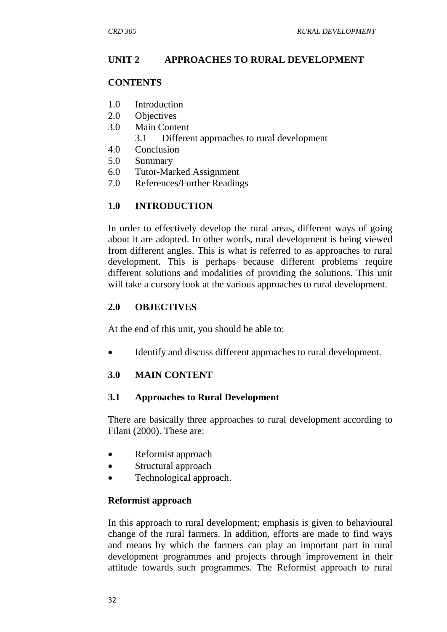## **UNIT 2 APPROACHES TO RURAL DEVELOPMENT**

## **CONTENTS**

- 1.0 Introduction
- 2.0 Objectives
- 3.0 Main Content
	- 3.1 Different approaches to rural development
- 4.0 Conclusion
- 5.0 Summary
- 6.0 Tutor-Marked Assignment
- 7.0 References/Further Readings

## **1.0 INTRODUCTION**

In order to effectively develop the rural areas, different ways of going about it are adopted. In other words, rural development is being viewed from different angles. This is what is referred to as approaches to rural development. This is perhaps because different problems require different solutions and modalities of providing the solutions. This unit will take a cursory look at the various approaches to rural development.

## **2.0 OBJECTIVES**

At the end of this unit, you should be able to:

Identify and discuss different approaches to rural development.

## **3.0 MAIN CONTENT**

## **3.1 Approaches to Rural Development**

There are basically three approaches to rural development according to Filani (2000). These are:

- Reformist approach
- Structural approach
- Technological approach.

## **Reformist approach**

In this approach to rural development; emphasis is given to behavioural change of the rural farmers. In addition, efforts are made to find ways and means by which the farmers can play an important part in rural development programmes and projects through improvement in their attitude towards such programmes. The Reformist approach to rural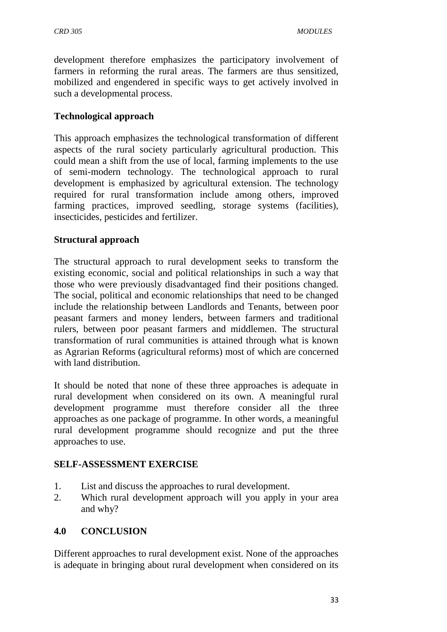development therefore emphasizes the participatory involvement of farmers in reforming the rural areas. The farmers are thus sensitized, mobilized and engendered in specific ways to get actively involved in such a developmental process.

## **Technological approach**

This approach emphasizes the technological transformation of different aspects of the rural society particularly agricultural production. This could mean a shift from the use of local, farming implements to the use of semi-modern technology. The technological approach to rural development is emphasized by agricultural extension. The technology required for rural transformation include among others, improved farming practices, improved seedling, storage systems (facilities), insecticides, pesticides and fertilizer.

## **Structural approach**

The structural approach to rural development seeks to transform the existing economic, social and political relationships in such a way that those who were previously disadvantaged find their positions changed. The social, political and economic relationships that need to be changed include the relationship between Landlords and Tenants, between poor peasant farmers and money lenders, between farmers and traditional rulers, between poor peasant farmers and middlemen. The structural transformation of rural communities is attained through what is known as Agrarian Reforms (agricultural reforms) most of which are concerned with land distribution.

It should be noted that none of these three approaches is adequate in rural development when considered on its own. A meaningful rural development programme must therefore consider all the three approaches as one package of programme. In other words, a meaningful rural development programme should recognize and put the three approaches to use.

## **SELF-ASSESSMENT EXERCISE**

- 1. List and discuss the approaches to rural development.
- 2. Which rural development approach will you apply in your area and why?

## **4.0 CONCLUSION**

Different approaches to rural development exist. None of the approaches is adequate in bringing about rural development when considered on its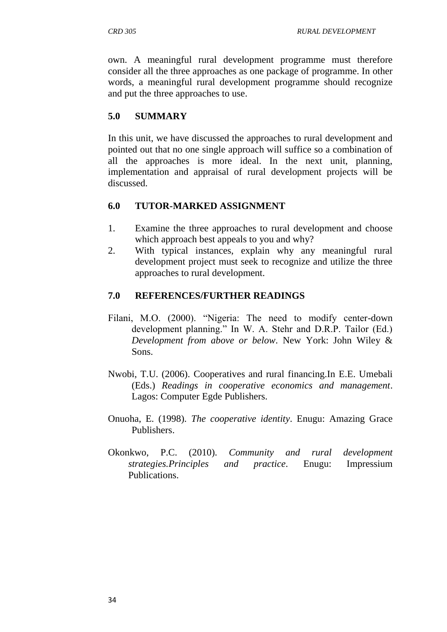own. A meaningful rural development programme must therefore consider all the three approaches as one package of programme. In other words, a meaningful rural development programme should recognize and put the three approaches to use.

## **5.0 SUMMARY**

In this unit, we have discussed the approaches to rural development and pointed out that no one single approach will suffice so a combination of all the approaches is more ideal. In the next unit, planning, implementation and appraisal of rural development projects will be discussed.

## **6.0 TUTOR-MARKED ASSIGNMENT**

- 1. Examine the three approaches to rural development and choose which approach best appeals to you and why?
- 2. With typical instances, explain why any meaningful rural development project must seek to recognize and utilize the three approaches to rural development.

## **7.0 REFERENCES/FURTHER READINGS**

- Filani, M.O. (2000). "Nigeria: The need to modify center-down development planning." In W. A. Stehr and D.R.P. Tailor (Ed.) *Development from above or below*. New York: John Wiley & Sons.
- Nwobi, T.U. (2006). Cooperatives and rural financing.In E.E. Umebali (Eds.) *Readings in cooperative economics and management*. Lagos: Computer Egde Publishers.
- Onuoha, E. (1998). *The cooperative identity*. Enugu: Amazing Grace Publishers.
- Okonkwo, P.C. (2010). *Community and rural development strategies.Principles and practice*. Enugu: Impressium Publications.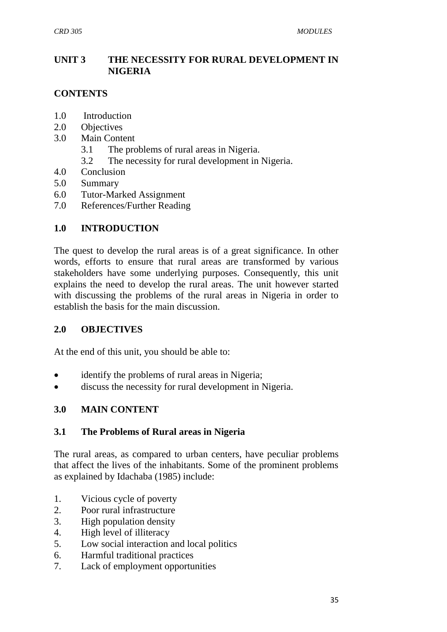## **UNIT 3 THE NECESSITY FOR RURAL DEVELOPMENT IN NIGERIA**

## **CONTENTS**

- 1.0 Introduction
- 2.0 Objectives
- 3.0 Main Content
	- 3.1 The problems of rural areas in Nigeria.
	- 3.2 The necessity for rural development in Nigeria.
- 4.0 Conclusion
- 5.0 Summary
- 6.0 Tutor-Marked Assignment
- 7.0 References/Further Reading

## **1.0 INTRODUCTION**

The quest to develop the rural areas is of a great significance. In other words, efforts to ensure that rural areas are transformed by various stakeholders have some underlying purposes. Consequently, this unit explains the need to develop the rural areas. The unit however started with discussing the problems of the rural areas in Nigeria in order to establish the basis for the main discussion.

#### **2.0 OBJECTIVES**

At the end of this unit, you should be able to:

- identify the problems of rural areas in Nigeria;
- discuss the necessity for rural development in Nigeria.

## **3.0 MAIN CONTENT**

#### **3.1 The Problems of Rural areas in Nigeria**

The rural areas, as compared to urban centers, have peculiar problems that affect the lives of the inhabitants. Some of the prominent problems as explained by Idachaba (1985) include:

- 1. Vicious cycle of poverty
- 2. Poor rural infrastructure
- 3. High population density
- 4. High level of illiteracy
- 5. Low social interaction and local politics
- 6. Harmful traditional practices
- 7. Lack of employment opportunities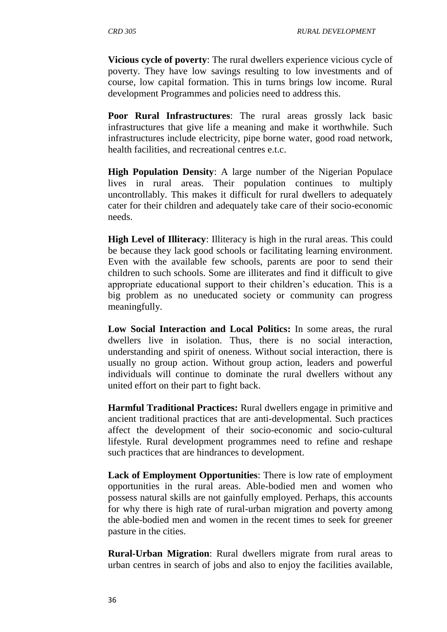**Vicious cycle of poverty**: The rural dwellers experience vicious cycle of poverty. They have low savings resulting to low investments and of course, low capital formation. This in turns brings low income. Rural development Programmes and policies need to address this.

**Poor Rural Infrastructures**: The rural areas grossly lack basic infrastructures that give life a meaning and make it worthwhile. Such infrastructures include electricity, pipe borne water, good road network, health facilities, and recreational centres e.t.c.

**High Population Density**: A large number of the Nigerian Populace lives in rural areas. Their population continues to multiply uncontrollably. This makes it difficult for rural dwellers to adequately cater for their children and adequately take care of their socio-economic needs.

**High Level of Illiteracy**: Illiteracy is high in the rural areas. This could be because they lack good schools or facilitating learning environment. Even with the available few schools, parents are poor to send their children to such schools. Some are illiterates and find it difficult to give appropriate educational support to their children's education. This is a big problem as no uneducated society or community can progress meaningfully.

**Low Social Interaction and Local Politics:** In some areas, the rural dwellers live in isolation. Thus, there is no social interaction, understanding and spirit of oneness. Without social interaction, there is usually no group action. Without group action, leaders and powerful individuals will continue to dominate the rural dwellers without any united effort on their part to fight back.

**Harmful Traditional Practices:** Rural dwellers engage in primitive and ancient traditional practices that are anti-developmental. Such practices affect the development of their socio-economic and socio-cultural lifestyle. Rural development programmes need to refine and reshape such practices that are hindrances to development.

**Lack of Employment Opportunities**: There is low rate of employment opportunities in the rural areas. Able-bodied men and women who possess natural skills are not gainfully employed. Perhaps, this accounts for why there is high rate of rural-urban migration and poverty among the able-bodied men and women in the recent times to seek for greener pasture in the cities.

**Rural-Urban Migration**: Rural dwellers migrate from rural areas to urban centres in search of jobs and also to enjoy the facilities available,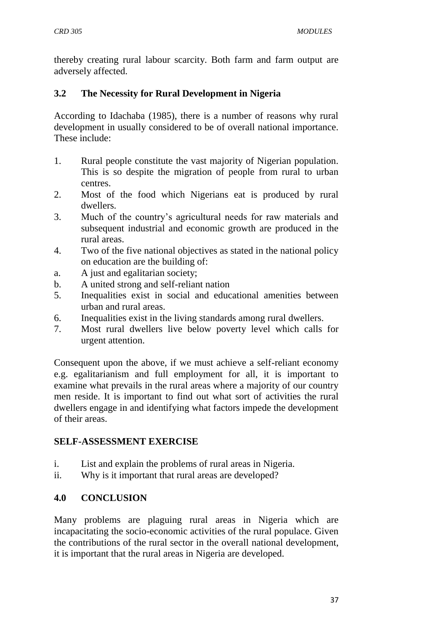thereby creating rural labour scarcity. Both farm and farm output are adversely affected.

## **3.2 The Necessity for Rural Development in Nigeria**

According to Idachaba (1985), there is a number of reasons why rural development in usually considered to be of overall national importance. These include:

- 1. Rural people constitute the vast majority of Nigerian population. This is so despite the migration of people from rural to urban centres.
- 2. Most of the food which Nigerians eat is produced by rural dwellers.
- 3. Much of the country's agricultural needs for raw materials and subsequent industrial and economic growth are produced in the rural areas.
- 4. Two of the five national objectives as stated in the national policy on education are the building of:
- a. A just and egalitarian society;
- b. A united strong and self-reliant nation
- 5. Inequalities exist in social and educational amenities between urban and rural areas.
- 6. Inequalities exist in the living standards among rural dwellers.
- 7. Most rural dwellers live below poverty level which calls for urgent attention.

Consequent upon the above, if we must achieve a self-reliant economy e.g. egalitarianism and full employment for all, it is important to examine what prevails in the rural areas where a majority of our country men reside. It is important to find out what sort of activities the rural dwellers engage in and identifying what factors impede the development of their areas.

## **SELF-ASSESSMENT EXERCISE**

- i. List and explain the problems of rural areas in Nigeria.
- ii. Why is it important that rural areas are developed?

## **4.0 CONCLUSION**

Many problems are plaguing rural areas in Nigeria which are incapacitating the socio-economic activities of the rural populace. Given the contributions of the rural sector in the overall national development, it is important that the rural areas in Nigeria are developed.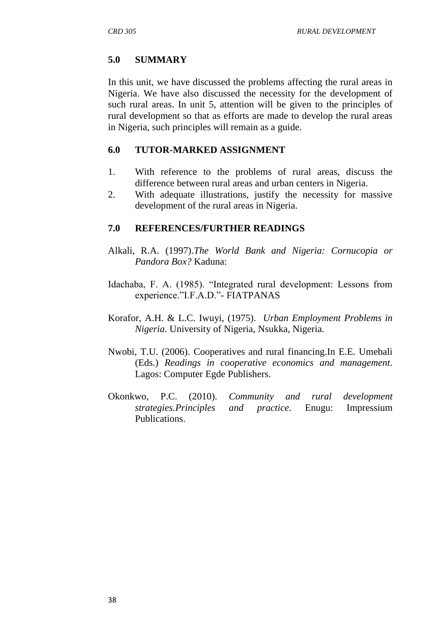## **5.0 SUMMARY**

In this unit, we have discussed the problems affecting the rural areas in Nigeria. We have also discussed the necessity for the development of such rural areas. In unit 5, attention will be given to the principles of rural development so that as efforts are made to develop the rural areas in Nigeria, such principles will remain as a guide.

## **6.0 TUTOR-MARKED ASSIGNMENT**

- 1. With reference to the problems of rural areas, discuss the difference between rural areas and urban centers in Nigeria.
- 2. With adequate illustrations, justify the necessity for massive development of the rural areas in Nigeria.

## **7.0 REFERENCES/FURTHER READINGS**

- Alkali, R.A. (1997).*The World Bank and Nigeria: Cornucopia or Pandora Box?* Kaduna:
- Idachaba, F. A. (1985). "Integrated rural development: Lessons from experience."I.F.A.D."- FIATPANAS
- Korafor, A.H. & L.C. Iwuyi, (1975). *Urban Employment Problems in Nigeria*. University of Nigeria, Nsukka, Nigeria.
- Nwobi, T.U. (2006). Cooperatives and rural financing.In E.E. Umebali (Eds.) *Readings in cooperative economics and management*. Lagos: Computer Egde Publishers.
- Okonkwo, P.C. (2010). *Community and rural development strategies.Principles and practice*. Enugu: Impressium Publications.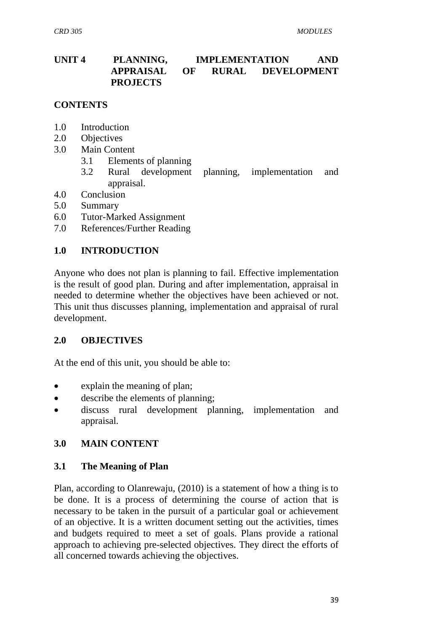## **UNIT 4 PLANNING, IMPLEMENTATION AND APPRAISAL OF RURAL DEVELOPMENT PROJECTS**

### **CONTENTS**

- 1.0 Introduction
- 2.0 Objectives
- 3.0 Main Content
	- 3.1 Elements of planning
	- 3.2 Rural development planning, implementation and appraisal.
- 4.0 Conclusion
- 5.0 Summary
- 6.0 Tutor-Marked Assignment
- 7.0 References/Further Reading

## **1.0 INTRODUCTION**

Anyone who does not plan is planning to fail. Effective implementation is the result of good plan. During and after implementation, appraisal in needed to determine whether the objectives have been achieved or not. This unit thus discusses planning, implementation and appraisal of rural development.

#### **2.0 OBJECTIVES**

At the end of this unit, you should be able to:

- explain the meaning of plan;
- describe the elements of planning;
- discuss rural development planning, implementation and appraisal.

## **3.0 MAIN CONTENT**

#### **3.1 The Meaning of Plan**

Plan, according to Olanrewaju, (2010) is a statement of how a thing is to be done. It is a process of determining the course of action that is necessary to be taken in the pursuit of a particular goal or achievement of an objective. It is a written document setting out the activities, times and budgets required to meet a set of goals. Plans provide a rational approach to achieving pre-selected objectives. They direct the efforts of all concerned towards achieving the objectives.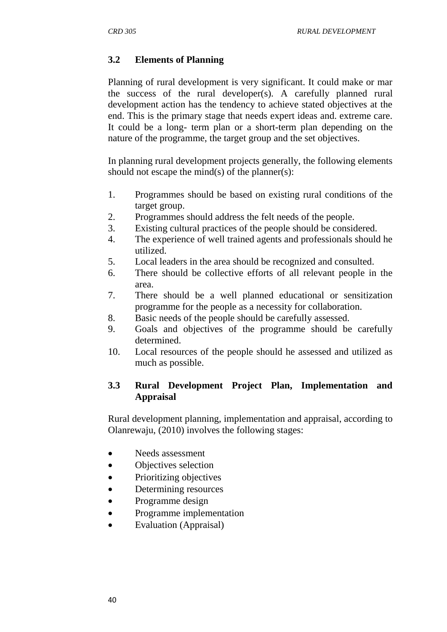## **3.2 Elements of Planning**

Planning of rural development is very significant. It could make or mar the success of the rural developer(s). A carefully planned rural development action has the tendency to achieve stated objectives at the end. This is the primary stage that needs expert ideas and. extreme care. It could be a long- term plan or a short-term plan depending on the nature of the programme, the target group and the set objectives.

In planning rural development projects generally, the following elements should not escape the mind(s) of the planner(s):

- 1. Programmes should be based on existing rural conditions of the target group.
- 2. Programmes should address the felt needs of the people.
- 3. Existing cultural practices of the people should be considered.
- 4. The experience of well trained agents and professionals should he utilized.
- 5. Local leaders in the area should be recognized and consulted.
- 6. There should be collective efforts of all relevant people in the area.
- 7. There should be a well planned educational or sensitization programme for the people as a necessity for collaboration.
- 8. Basic needs of the people should be carefully assessed.
- 9. Goals and objectives of the programme should be carefully determined.
- 10. Local resources of the people should he assessed and utilized as much as possible.

## **3.3 Rural Development Project Plan, Implementation and Appraisal**

Rural development planning, implementation and appraisal, according to Olanrewaju, (2010) involves the following stages:

- Needs assessment
- Objectives selection
- Prioritizing objectives
- Determining resources
- Programme design
- Programme implementation
- Evaluation (Appraisal)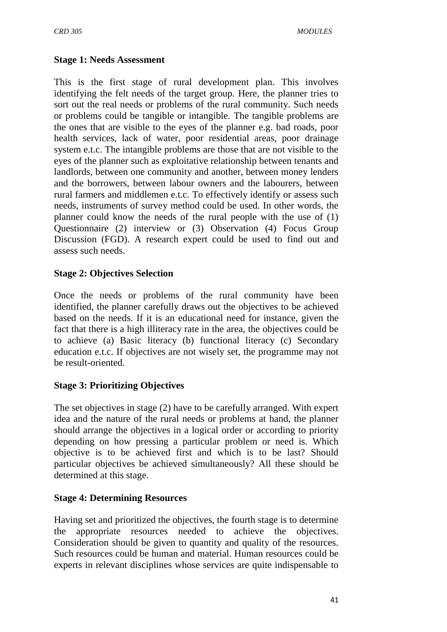#### **Stage 1: Needs Assessment**

This is the first stage of rural development plan. This involves identifying the felt needs of the target group. Here, the planner tries to sort out the real needs or problems of the rural community. Such needs or problems could be tangible or intangible. The tangible problems are the ones that are visible to the eyes of the planner e.g. bad roads, poor health services, lack of water, poor residential areas, poor drainage system e.t.c. The intangible problems are those that are not visible to the eyes of the planner such as exploitative relationship between tenants and landlords, between one community and another, between money lenders and the borrowers, between labour owners and the labourers, between rural farmers and middlemen e.t.c. To effectively identify or assess such needs, instruments of survey method could be used. In other words, the planner could know the needs of the rural people with the use of (1) Questionnaire (2) interview or (3) Observation (4) Focus Group Discussion (FGD). A research expert could be used to find out and assess such needs.

## **Stage 2: Objectives Selection**

Once the needs or problems of the rural community have been identified, the planner carefully draws out the objectives to be achieved based on the needs. If it is an educational need for instance, given the fact that there is a high illiteracy rate in the area, the objectives could be to achieve (a) Basic literacy (b) functional literacy (c) Secondary education e.t.c. If objectives are not wisely set, the programme may not be result-oriented.

## **Stage 3: Prioritizing Objectives**

The set objectives in stage (2) have to be carefully arranged. With expert idea and the nature of the rural needs or problems at hand, the planner should arrange the objectives in a logical order or according to priority depending on how pressing a particular problem or need is. Which objective is to be achieved first and which is to be last? Should particular objectives be achieved simultaneously? All these should be determined at this stage.

## **Stage 4: Determining Resources**

Having set and prioritized the objectives, the fourth stage is to determine the appropriate resources needed to achieve the objectives. Consideration should be given to quantity and quality of the resources. Such resources could be human and material. Human resources could be experts in relevant disciplines whose services are quite indispensable to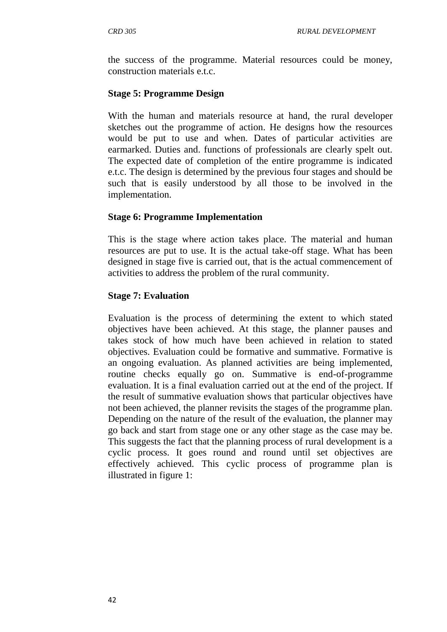the success of the programme. Material resources could be money, construction materials e.t.c.

## **Stage 5: Programme Design**

With the human and materials resource at hand, the rural developer sketches out the programme of action. He designs how the resources would be put to use and when. Dates of particular activities are earmarked. Duties and. functions of professionals are clearly spelt out. The expected date of completion of the entire programme is indicated e.t.c. The design is determined by the previous four stages and should be such that is easily understood by all those to be involved in the implementation.

## **Stage 6: Programme Implementation**

This is the stage where action takes place. The material and human resources are put to use. It is the actual take-off stage. What has been designed in stage five is carried out, that is the actual commencement of activities to address the problem of the rural community.

## **Stage 7: Evaluation**

Evaluation is the process of determining the extent to which stated objectives have been achieved. At this stage, the planner pauses and takes stock of how much have been achieved in relation to stated objectives. Evaluation could be formative and summative. Formative is an ongoing evaluation. As planned activities are being implemented, routine checks equally go on. Summative is end-of-programme evaluation. It is a final evaluation carried out at the end of the project. If the result of summative evaluation shows that particular objectives have not been achieved, the planner revisits the stages of the programme plan. Depending on the nature of the result of the evaluation, the planner may go back and start from stage one or any other stage as the case may be. This suggests the fact that the planning process of rural development is a cyclic process. It goes round and round until set objectives are effectively achieved. This cyclic process of programme plan is illustrated in figure 1: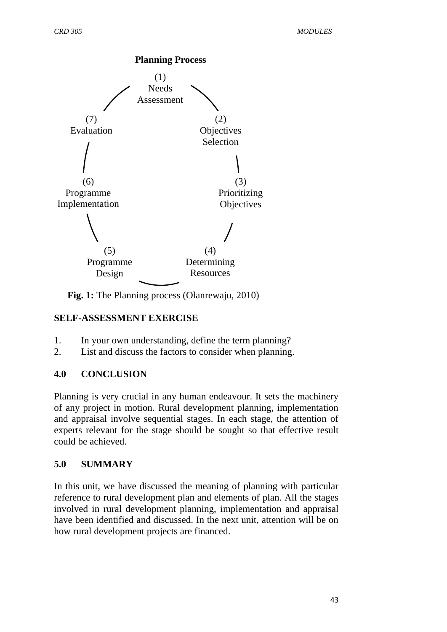

**Fig. 1:** The Planning process (Olanrewaju, 2010)

## **SELF-ASSESSMENT EXERCISE**

- 1. In your own understanding, define the term planning?
- 2. List and discuss the factors to consider when planning.

## **4.0 CONCLUSION**

Planning is very crucial in any human endeavour. It sets the machinery of any project in motion. Rural development planning, implementation and appraisal involve sequential stages. In each stage, the attention of experts relevant for the stage should be sought so that effective result could be achieved.

## **5.0 SUMMARY**

In this unit, we have discussed the meaning of planning with particular reference to rural development plan and elements of plan. All the stages involved in rural development planning, implementation and appraisal have been identified and discussed. In the next unit, attention will be on how rural development projects are financed.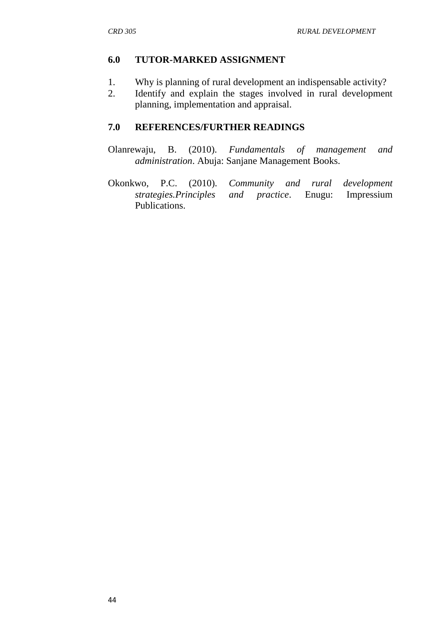## **6.0 TUTOR-MARKED ASSIGNMENT**

- 1. Why is planning of rural development an indispensable activity?
- 2. Identify and explain the stages involved in rural development planning, implementation and appraisal.

## **7.0 REFERENCES/FURTHER READINGS**

- Olanrewaju, B. (2010). *Fundamentals of management and administration*. Abuja: Sanjane Management Books.
- Okonkwo, P.C. (2010). *Community and rural development strategies.Principles and practice.* Enugu: Publications.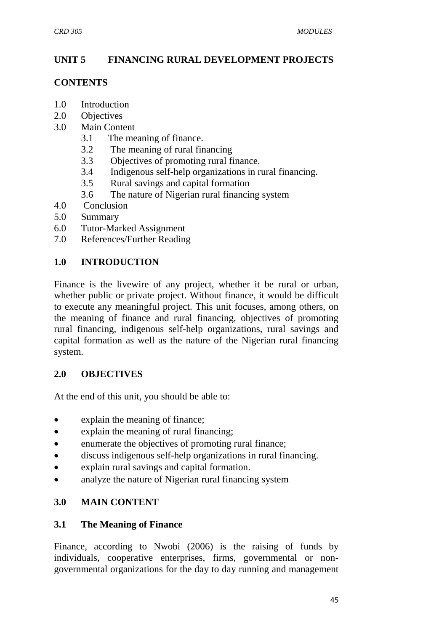## **UNIT 5 FINANCING RURAL DEVELOPMENT PROJECTS**

#### **CONTENTS**

- 1.0 Introduction
- 2.0 Objectives
- 3.0 Main Content
	- 3.1 The meaning of finance.
	- 3.2 The meaning of rural financing
	- 3.3 Objectives of promoting rural finance.
	- 3.4 Indigenous self-help organizations in rural financing.
	- 3.5 Rural savings and capital formation
	- 3.6 The nature of Nigerian rural financing system
- 4.0 Conclusion
- 5.0 Summary
- 6.0 Tutor-Marked Assignment
- 7.0 References/Further Reading

## **1.0 INTRODUCTION**

Finance is the livewire of any project, whether it be rural or urban, whether public or private project. Without finance, it would be difficult to execute any meaningful project. This unit focuses, among others, on the meaning of finance and rural financing, objectives of promoting rural financing, indigenous self-help organizations, rural savings and capital formation as well as the nature of the Nigerian rural financing system.

## **2.0 OBJECTIVES**

At the end of this unit, you should be able to:

- explain the meaning of finance;
- explain the meaning of rural financing;
- enumerate the objectives of promoting rural finance;
- discuss indigenous self-help organizations in rural financing.
- explain rural savings and capital formation.
- analyze the nature of Nigerian rural financing system

## **3.0 MAIN CONTENT**

## **3.1 The Meaning of Finance**

Finance, according to Nwobi (2006) is the raising of funds by individuals, cooperative enterprises, firms, governmental or nongovernmental organizations for the day to day running and management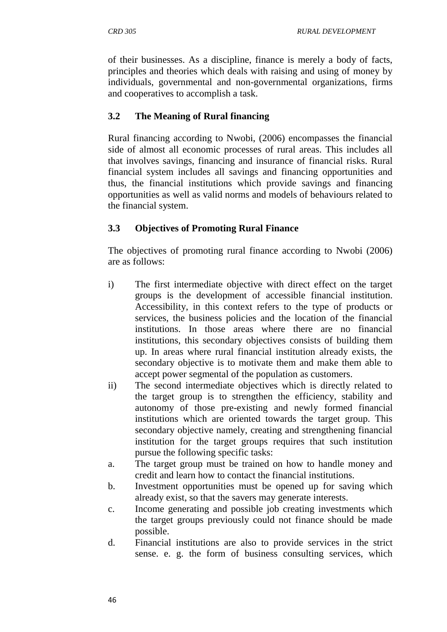of their businesses. As a discipline, finance is merely a body of facts, principles and theories which deals with raising and using of money by individuals, governmental and non-governmental organizations, firms and cooperatives to accomplish a task.

## **3.2 The Meaning of Rural financing**

Rural financing according to Nwobi, (2006) encompasses the financial side of almost all economic processes of rural areas. This includes all that involves savings, financing and insurance of financial risks. Rural financial system includes all savings and financing opportunities and thus, the financial institutions which provide savings and financing opportunities as well as valid norms and models of behaviours related to the financial system.

# **3.3 Objectives of Promoting Rural Finance**

The objectives of promoting rural finance according to Nwobi (2006) are as follows:

- i) The first intermediate objective with direct effect on the target groups is the development of accessible financial institution. Accessibility, in this context refers to the type of products or services, the business policies and the location of the financial institutions. In those areas where there are no financial institutions, this secondary objectives consists of building them up. In areas where rural financial institution already exists, the secondary objective is to motivate them and make them able to accept power segmental of the population as customers.
- ii) The second intermediate objectives which is directly related to the target group is to strengthen the efficiency, stability and autonomy of those pre-existing and newly formed financial institutions which are oriented towards the target group. This secondary objective namely, creating and strengthening financial institution for the target groups requires that such institution pursue the following specific tasks:
- a. The target group must be trained on how to handle money and credit and learn how to contact the financial institutions.
- b. Investment opportunities must be opened up for saving which already exist, so that the savers may generate interests.
- c. Income generating and possible job creating investments which the target groups previously could not finance should be made possible.
- d. Financial institutions are also to provide services in the strict sense. e. g. the form of business consulting services, which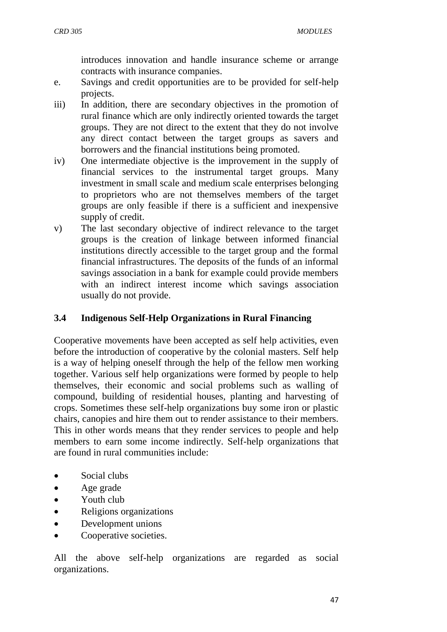introduces innovation and handle insurance scheme or arrange contracts with insurance companies.

- e. Savings and credit opportunities are to be provided for self-help projects.
- iii) In addition, there are secondary objectives in the promotion of rural finance which are only indirectly oriented towards the target groups. They are not direct to the extent that they do not involve any direct contact between the target groups as savers and borrowers and the financial institutions being promoted.
- iv) One intermediate objective is the improvement in the supply of financial services to the instrumental target groups. Many investment in small scale and medium scale enterprises belonging to proprietors who are not themselves members of the target groups are only feasible if there is a sufficient and inexpensive supply of credit.
- v) The last secondary objective of indirect relevance to the target groups is the creation of linkage between informed financial institutions directly accessible to the target group and the formal financial infrastructures. The deposits of the funds of an informal savings association in a bank for example could provide members with an indirect interest income which savings association usually do not provide.

## **3.4 Indigenous Self-Help Organizations in Rural Financing**

Cooperative movements have been accepted as self help activities, even before the introduction of cooperative by the colonial masters. Self help is a way of helping oneself through the help of the fellow men working together. Various self help organizations were formed by people to help themselves, their economic and social problems such as walling of compound, building of residential houses, planting and harvesting of crops. Sometimes these self-help organizations buy some iron or plastic chairs, canopies and hire them out to render assistance to their members. This in other words means that they render services to people and help members to earn some income indirectly. Self-help organizations that are found in rural communities include:

- Social clubs
- Age grade
- Youth club
- Religions organizations
- Development unions
- Cooperative societies.

All the above self-help organizations are regarded as social organizations.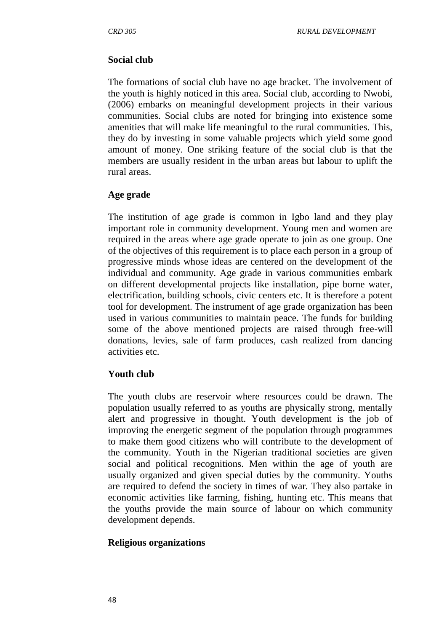#### **Social club**

The formations of social club have no age bracket. The involvement of the youth is highly noticed in this area. Social club, according to Nwobi, (2006) embarks on meaningful development projects in their various communities. Social clubs are noted for bringing into existence some amenities that will make life meaningful to the rural communities. This, they do by investing in some valuable projects which yield some good amount of money. One striking feature of the social club is that the members are usually resident in the urban areas but labour to uplift the rural areas.

#### **Age grade**

The institution of age grade is common in Igbo land and they play important role in community development. Young men and women are required in the areas where age grade operate to join as one group. One of the objectives of this requirement is to place each person in a group of progressive minds whose ideas are centered on the development of the individual and community. Age grade in various communities embark on different developmental projects like installation, pipe borne water, electrification, building schools, civic centers etc. It is therefore a potent tool for development. The instrument of age grade organization has been used in various communities to maintain peace. The funds for building some of the above mentioned projects are raised through free-will donations, levies, sale of farm produces, cash realized from dancing activities etc.

#### **Youth club**

The youth clubs are reservoir where resources could be drawn. The population usually referred to as youths are physically strong, mentally alert and progressive in thought. Youth development is the job of improving the energetic segment of the population through programmes to make them good citizens who will contribute to the development of the community. Youth in the Nigerian traditional societies are given social and political recognitions. Men within the age of youth are usually organized and given special duties by the community. Youths are required to defend the society in times of war. They also partake in economic activities like farming, fishing, hunting etc. This means that the youths provide the main source of labour on which community development depends.

#### **Religious organizations**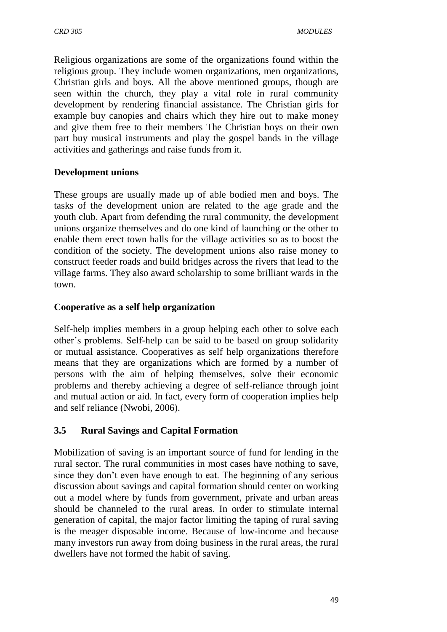Religious organizations are some of the organizations found within the religious group. They include women organizations, men organizations, Christian girls and boys. All the above mentioned groups, though are seen within the church, they play a vital role in rural community development by rendering financial assistance. The Christian girls for example buy canopies and chairs which they hire out to make money and give them free to their members The Christian boys on their own part buy musical instruments and play the gospel bands in the village activities and gatherings and raise funds from it.

## **Development unions**

These groups are usually made up of able bodied men and boys. The tasks of the development union are related to the age grade and the youth club. Apart from defending the rural community, the development unions organize themselves and do one kind of launching or the other to enable them erect town halls for the village activities so as to boost the condition of the society. The development unions also raise money to construct feeder roads and build bridges across the rivers that lead to the village farms. They also award scholarship to some brilliant wards in the town.

## **Cooperative as a self help organization**

Self-help implies members in a group helping each other to solve each other's problems. Self-help can be said to be based on group solidarity or mutual assistance. Cooperatives as self help organizations therefore means that they are organizations which are formed by a number of persons with the aim of helping themselves, solve their economic problems and thereby achieving a degree of self-reliance through joint and mutual action or aid. In fact, every form of cooperation implies help and self reliance (Nwobi, 2006).

## **3.5 Rural Savings and Capital Formation**

Mobilization of saving is an important source of fund for lending in the rural sector. The rural communities in most cases have nothing to save, since they don't even have enough to eat. The beginning of any serious discussion about savings and capital formation should center on working out a model where by funds from government, private and urban areas should be channeled to the rural areas. In order to stimulate internal generation of capital, the major factor limiting the taping of rural saving is the meager disposable income. Because of low-income and because many investors run away from doing business in the rural areas, the rural dwellers have not formed the habit of saving.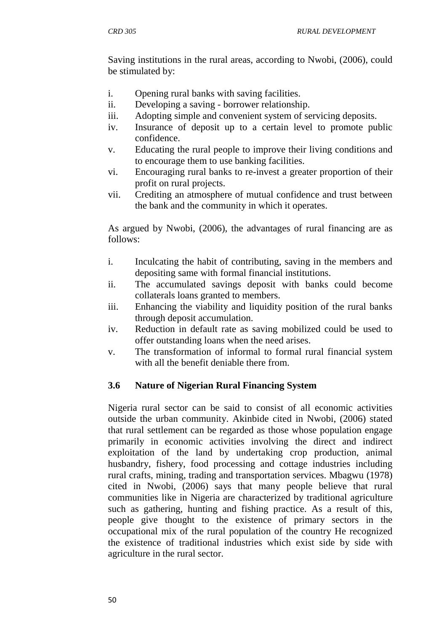Saving institutions in the rural areas, according to Nwobi, (2006), could be stimulated by:

- i. Opening rural banks with saving facilities.
- ii. Developing a saving borrower relationship.
- iii. Adopting simple and convenient system of servicing deposits.
- iv. Insurance of deposit up to a certain level to promote public confidence.
- v. Educating the rural people to improve their living conditions and to encourage them to use banking facilities.
- vi. Encouraging rural banks to re-invest a greater proportion of their profit on rural projects.
- vii. Crediting an atmosphere of mutual confidence and trust between the bank and the community in which it operates.

As argued by Nwobi, (2006), the advantages of rural financing are as follows:

- i. Inculcating the habit of contributing, saving in the members and depositing same with formal financial institutions.
- ii. The accumulated savings deposit with banks could become collaterals loans granted to members.
- iii. Enhancing the viability and liquidity position of the rural banks through deposit accumulation.
- iv. Reduction in default rate as saving mobilized could be used to offer outstanding loans when the need arises.
- v. The transformation of informal to formal rural financial system with all the benefit deniable there from.

## **3.6 Nature of Nigerian Rural Financing System**

Nigeria rural sector can be said to consist of all economic activities outside the urban community. Akinbide cited in Nwobi, (2006) stated that rural settlement can be regarded as those whose population engage primarily in economic activities involving the direct and indirect exploitation of the land by undertaking crop production, animal husbandry, fishery, food processing and cottage industries including rural crafts, mining, trading and transportation services. Mbagwu (1978) cited in Nwobi, (2006) says that many people believe that rural communities like in Nigeria are characterized by traditional agriculture such as gathering, hunting and fishing practice. As a result of this, people give thought to the existence of primary sectors in the occupational mix of the rural population of the country He recognized the existence of traditional industries which exist side by side with agriculture in the rural sector.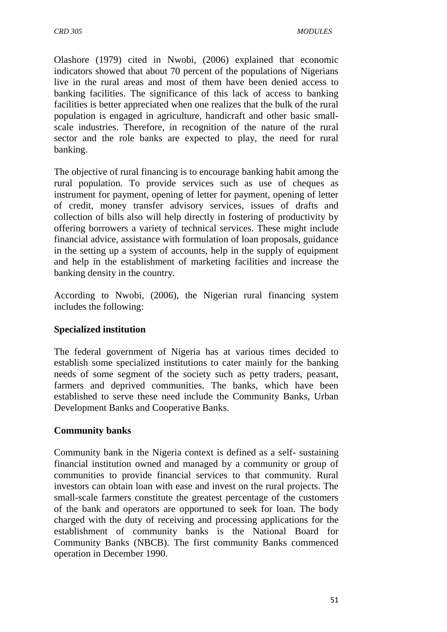Olashore (1979) cited in Nwobi, (2006) explained that economic indicators showed that about 70 percent of the populations of Nigerians live in the rural areas and most of them have been denied access to banking facilities. The significance of this lack of access to banking facilities is better appreciated when one realizes that the bulk of the rural population is engaged in agriculture, handicraft and other basic smallscale industries. Therefore, in recognition of the nature of the rural sector and the role banks are expected to play, the need for rural banking.

The objective of rural financing is to encourage banking habit among the rural population. To provide services such as use of cheques as instrument for payment, opening of letter for payment, opening of letter of credit, money transfer advisory services, issues of drafts and collection of bills also will help directly in fostering of productivity by offering borrowers a variety of technical services. These might include financial advice, assistance with formulation of loan proposals, guidance in the setting up a system of accounts, help in the supply of equipment and help in the establishment of marketing facilities and increase the banking density in the country.

According to Nwobi, (2006), the Nigerian rural financing system includes the following:

## **Specialized institution**

The federal government of Nigeria has at various times decided to establish some specialized institutions to cater mainly for the banking needs of some segment of the society such as petty traders, peasant, farmers and deprived communities. The banks, which have been established to serve these need include the Community Banks, Urban Development Banks and Cooperative Banks.

#### **Community banks**

Community bank in the Nigeria context is defined as a self- sustaining financial institution owned and managed by a community or group of communities to provide financial services to that community. Rural investors can obtain loan with ease and invest on the rural projects. The small-scale farmers constitute the greatest percentage of the customers of the bank and operators are opportuned to seek for loan. The body charged with the duty of receiving and processing applications for the establishment of community banks is the National Board for Community Banks (NBCB). The first community Banks commenced operation in December 1990.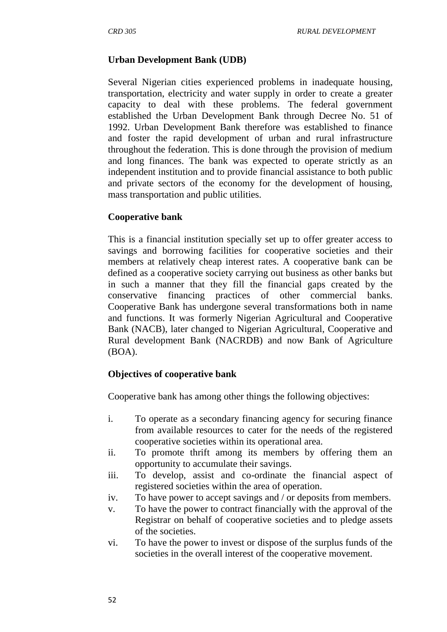## **Urban Development Bank (UDB)**

Several Nigerian cities experienced problems in inadequate housing, transportation, electricity and water supply in order to create a greater capacity to deal with these problems. The federal government established the Urban Development Bank through Decree No. 51 of 1992. Urban Development Bank therefore was established to finance and foster the rapid development of urban and rural infrastructure throughout the federation. This is done through the provision of medium and long finances. The bank was expected to operate strictly as an independent institution and to provide financial assistance to both public and private sectors of the economy for the development of housing, mass transportation and public utilities.

## **Cooperative bank**

This is a financial institution specially set up to offer greater access to savings and borrowing facilities for cooperative societies and their members at relatively cheap interest rates. A cooperative bank can be defined as a cooperative society carrying out business as other banks but in such a manner that they fill the financial gaps created by the conservative financing practices of other commercial banks. Cooperative Bank has undergone several transformations both in name and functions. It was formerly Nigerian Agricultural and Cooperative Bank (NACB), later changed to Nigerian Agricultural, Cooperative and Rural development Bank (NACRDB) and now Bank of Agriculture (BOA).

## **Objectives of cooperative bank**

Cooperative bank has among other things the following objectives:

- i. To operate as a secondary financing agency for securing finance from available resources to cater for the needs of the registered cooperative societies within its operational area.
- ii. To promote thrift among its members by offering them an opportunity to accumulate their savings.
- iii. To develop, assist and co-ordinate the financial aspect of registered societies within the area of operation.
- iv. To have power to accept savings and / or deposits from members.
- v. To have the power to contract financially with the approval of the Registrar on behalf of cooperative societies and to pledge assets of the societies.
- vi. To have the power to invest or dispose of the surplus funds of the societies in the overall interest of the cooperative movement.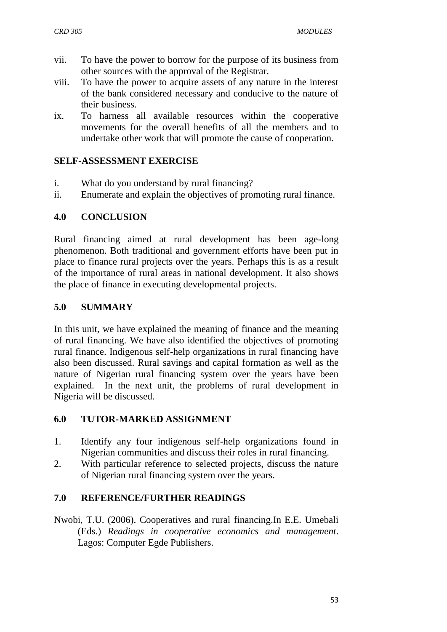- vii. To have the power to borrow for the purpose of its business from other sources with the approval of the Registrar.
- viii. To have the power to acquire assets of any nature in the interest of the bank considered necessary and conducive to the nature of their business.
- ix. To harness all available resources within the cooperative movements for the overall benefits of all the members and to undertake other work that will promote the cause of cooperation.

### **SELF-ASSESSMENT EXERCISE**

- i. What do you understand by rural financing?
- ii. Enumerate and explain the objectives of promoting rural finance.

### **4.0 CONCLUSION**

Rural financing aimed at rural development has been age-long phenomenon. Both traditional and government efforts have been put in place to finance rural projects over the years. Perhaps this is as a result of the importance of rural areas in national development. It also shows the place of finance in executing developmental projects.

## **5.0 SUMMARY**

In this unit, we have explained the meaning of finance and the meaning of rural financing. We have also identified the objectives of promoting rural finance. Indigenous self-help organizations in rural financing have also been discussed. Rural savings and capital formation as well as the nature of Nigerian rural financing system over the years have been explained. In the next unit, the problems of rural development in Nigeria will be discussed.

## **6.0 TUTOR-MARKED ASSIGNMENT**

- 1. Identify any four indigenous self-help organizations found in Nigerian communities and discuss their roles in rural financing.
- 2. With particular reference to selected projects, discuss the nature of Nigerian rural financing system over the years.

## **7.0 REFERENCE/FURTHER READINGS**

Nwobi, T.U. (2006). Cooperatives and rural financing.In E.E. Umebali (Eds.) *Readings in cooperative economics and management*. Lagos: Computer Egde Publishers.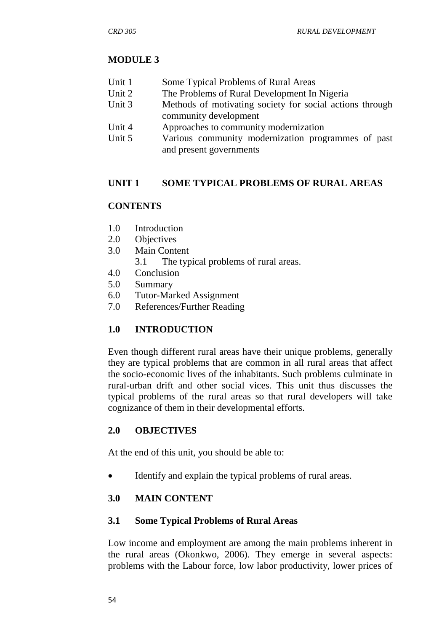## **MODULE 3**

- Unit 1 Some Typical Problems of Rural Areas
- Unit 2 The Problems of Rural Development In Nigeria
- Unit 3 Methods of motivating society for social actions through community development
- Unit 4 Approaches to community modernization
- Unit 5 Various community modernization programmes of past and present governments

## **UNIT 1 SOME TYPICAL PROBLEMS OF RURAL AREAS**

## **CONTENTS**

- 1.0 Introduction
- 2.0 Objectives
- 3.0 Main Content
	- 3.1 The typical problems of rural areas.
- 4.0 Conclusion
- 5.0 Summary
- 6.0 Tutor-Marked Assignment
- 7.0 References/Further Reading

## **1.0 INTRODUCTION**

Even though different rural areas have their unique problems, generally they are typical problems that are common in all rural areas that affect the socio-economic lives of the inhabitants. Such problems culminate in rural-urban drift and other social vices. This unit thus discusses the typical problems of the rural areas so that rural developers will take cognizance of them in their developmental efforts.

## **2.0 OBJECTIVES**

At the end of this unit, you should be able to:

Identify and explain the typical problems of rural areas.

## **3.0 MAIN CONTENT**

## **3.1 Some Typical Problems of Rural Areas**

Low income and employment are among the main problems inherent in the rural areas (Okonkwo, 2006). They emerge in several aspects: problems with the Labour force, low labor productivity, lower prices of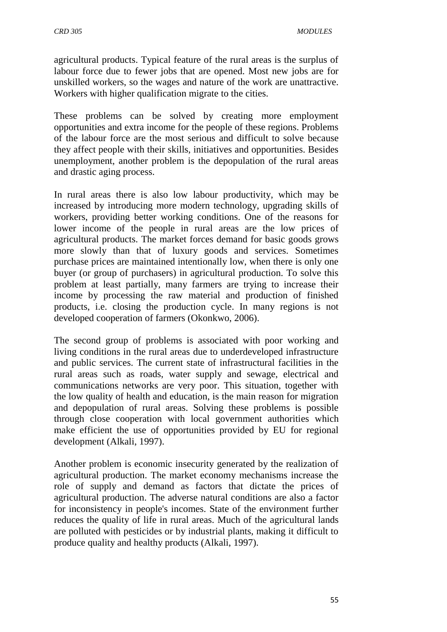agricultural products. Typical feature of the rural areas is the surplus of labour force due to fewer jobs that are opened. Most new jobs are for unskilled workers, so the wages and nature of the work are unattractive. Workers with higher qualification migrate to the cities.

These problems can be solved by creating more employment opportunities and extra income for the people of these regions. Problems of the labour force are the most serious and difficult to solve because they affect people with their skills, initiatives and opportunities. Besides unemployment, another problem is the depopulation of the rural areas and drastic aging process.

In rural areas there is also low labour productivity, which may be increased by introducing more modern technology, upgrading skills of workers, providing better working conditions. One of the reasons for lower income of the people in rural areas are the low prices of agricultural products. The market forces demand for basic goods grows more slowly than that of luxury goods and services. Sometimes purchase prices are maintained intentionally low, when there is only one buyer (or group of purchasers) in agricultural production. To solve this problem at least partially, many farmers are trying to increase their income by processing the raw material and production of finished products, i.e. closing the production cycle. In many regions is not developed cooperation of farmers (Okonkwo, 2006).

The second group of problems is associated with poor working and living conditions in the rural areas due to underdeveloped infrastructure and public services. The current state of infrastructural facilities in the rural areas such as roads, water supply and sewage, electrical and communications networks are very poor. This situation, together with the low quality of health and education, is the main reason for migration and depopulation of rural areas. Solving these problems is possible through close cooperation with local government authorities which make efficient the use of opportunities provided by EU for regional development (Alkali, 1997).

Another problem is economic insecurity generated by the realization of agricultural production. The market economy mechanisms increase the role of supply and demand as factors that dictate the prices of agricultural production. The adverse natural conditions are also a factor for inconsistency in people's incomes. State of the environment further reduces the quality of life in rural areas. Much of the agricultural lands are polluted with pesticides or by industrial plants, making it difficult to produce quality and healthy products (Alkali, 1997).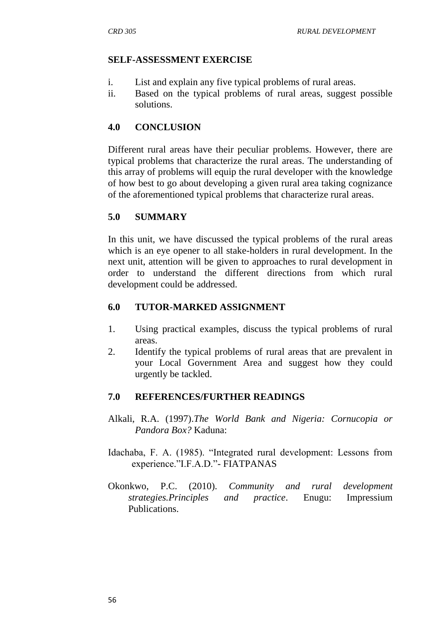## **SELF-ASSESSMENT EXERCISE**

- i. List and explain any five typical problems of rural areas.
- ii. Based on the typical problems of rural areas, suggest possible solutions.

## **4.0 CONCLUSION**

Different rural areas have their peculiar problems. However, there are typical problems that characterize the rural areas. The understanding of this array of problems will equip the rural developer with the knowledge of how best to go about developing a given rural area taking cognizance of the aforementioned typical problems that characterize rural areas.

## **5.0 SUMMARY**

In this unit, we have discussed the typical problems of the rural areas which is an eye opener to all stake-holders in rural development. In the next unit, attention will be given to approaches to rural development in order to understand the different directions from which rural development could be addressed.

## **6.0 TUTOR-MARKED ASSIGNMENT**

- 1. Using practical examples, discuss the typical problems of rural areas.
- 2. Identify the typical problems of rural areas that are prevalent in your Local Government Area and suggest how they could urgently be tackled.

## **7.0 REFERENCES/FURTHER READINGS**

- Alkali, R.A. (1997).*The World Bank and Nigeria: Cornucopia or Pandora Box?* Kaduna:
- Idachaba, F. A. (1985). "Integrated rural development: Lessons from experience."I.F.A.D."- FIATPANAS
- Okonkwo, P.C. (2010). *Community and rural development strategies.Principles and practice*. Enugu: Impressium Publications.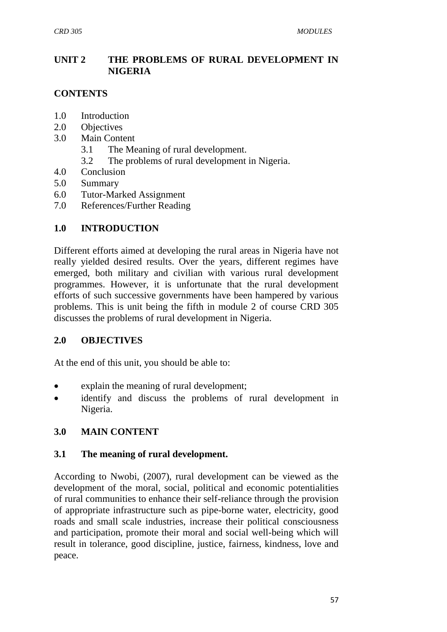## **UNIT 2 THE PROBLEMS OF RURAL DEVELOPMENT IN NIGERIA**

## **CONTENTS**

- 1.0 Introduction
- 2.0 Objectives
- 3.0 Main Content
	- 3.1 The Meaning of rural development.
	- 3.2 The problems of rural development in Nigeria.
- 4.0 Conclusion
- 5.0 Summary
- 6.0 Tutor-Marked Assignment
- 7.0 References/Further Reading

## **1.0 INTRODUCTION**

Different efforts aimed at developing the rural areas in Nigeria have not really yielded desired results. Over the years, different regimes have emerged, both military and civilian with various rural development programmes. However, it is unfortunate that the rural development efforts of such successive governments have been hampered by various problems. This is unit being the fifth in module 2 of course CRD 305 discusses the problems of rural development in Nigeria.

## **2.0 OBJECTIVES**

At the end of this unit, you should be able to:

- explain the meaning of rural development;
- identify and discuss the problems of rural development in Nigeria.

## **3.0 MAIN CONTENT**

## **3.1 The meaning of rural development.**

According to Nwobi, (2007), rural development can be viewed as the development of the moral, social, political and economic potentialities of rural communities to enhance their self-reliance through the provision of appropriate infrastructure such as pipe-borne water, electricity, good roads and small scale industries, increase their political consciousness and participation, promote their moral and social well-being which will result in tolerance, good discipline, justice, fairness, kindness, love and peace.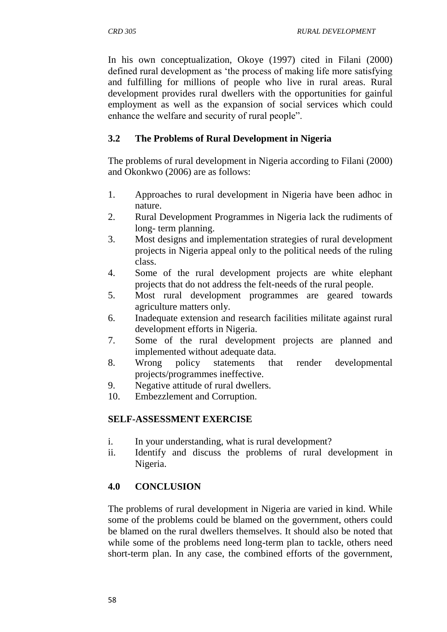In his own conceptualization, Okoye (1997) cited in Filani (2000) defined rural development as 'the process of making life more satisfying and fulfilling for millions of people who live in rural areas. Rural development provides rural dwellers with the opportunities for gainful employment as well as the expansion of social services which could enhance the welfare and security of rural people".

## **3.2 The Problems of Rural Development in Nigeria**

The problems of rural development in Nigeria according to Filani (2000) and Okonkwo (2006) are as follows:

- 1. Approaches to rural development in Nigeria have been adhoc in nature.
- 2. Rural Development Programmes in Nigeria lack the rudiments of long- term planning.
- 3. Most designs and implementation strategies of rural development projects in Nigeria appeal only to the political needs of the ruling class.
- 4. Some of the rural development projects are white elephant projects that do not address the felt-needs of the rural people.
- 5. Most rural development programmes are geared towards agriculture matters only.
- 6. Inadequate extension and research facilities militate against rural development efforts in Nigeria.
- 7. Some of the rural development projects are planned and implemented without adequate data.
- 8. Wrong policy statements that render developmental projects/programmes ineffective.
- 9. Negative attitude of rural dwellers.
- 10. Embezzlement and Corruption.

# **SELF-ASSESSMENT EXERCISE**

- i. In your understanding, what is rural development?
- ii. Identify and discuss the problems of rural development in Nigeria.

# **4.0 CONCLUSION**

The problems of rural development in Nigeria are varied in kind. While some of the problems could be blamed on the government, others could be blamed on the rural dwellers themselves. It should also be noted that while some of the problems need long-term plan to tackle, others need short-term plan. In any case, the combined efforts of the government,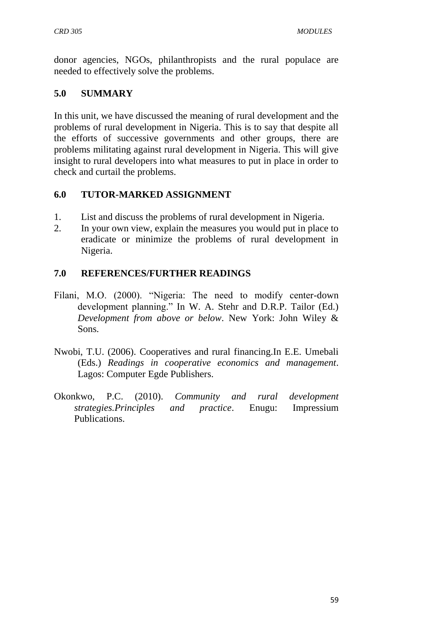donor agencies, NGOs, philanthropists and the rural populace are needed to effectively solve the problems.

## **5.0 SUMMARY**

In this unit, we have discussed the meaning of rural development and the problems of rural development in Nigeria. This is to say that despite all the efforts of successive governments and other groups, there are problems militating against rural development in Nigeria. This will give insight to rural developers into what measures to put in place in order to check and curtail the problems.

## **6.0 TUTOR-MARKED ASSIGNMENT**

- 1. List and discuss the problems of rural development in Nigeria.
- 2. In your own view, explain the measures you would put in place to eradicate or minimize the problems of rural development in Nigeria.

## **7.0 REFERENCES/FURTHER READINGS**

- Filani, M.O. (2000). "Nigeria: The need to modify center-down development planning." In W. A. Stehr and D.R.P. Tailor (Ed.) *Development from above or below*. New York: John Wiley & Sons.
- Nwobi, T.U. (2006). Cooperatives and rural financing.In E.E. Umebali (Eds.) *Readings in cooperative economics and management*. Lagos: Computer Egde Publishers.
- Okonkwo, P.C. (2010). *Community and rural development strategies.Principles and practice*. Enugu: Impressium Publications.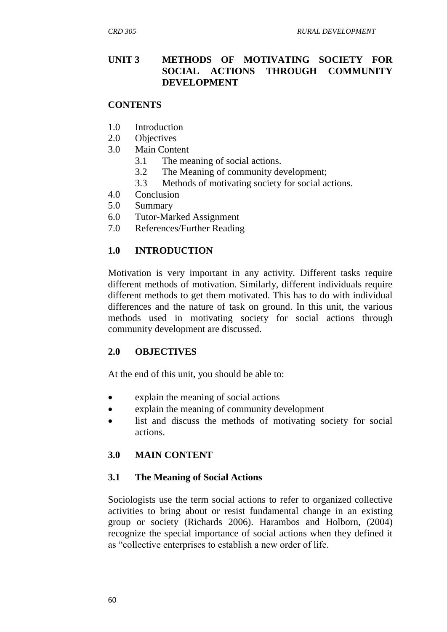## **UNIT 3 METHODS OF MOTIVATING SOCIETY FOR SOCIAL ACTIONS THROUGH COMMUNITY DEVELOPMENT**

### **CONTENTS**

- 1.0 Introduction
- 2.0 Objectives
- 3.0 Main Content
	- 3.1 The meaning of social actions.
	- 3.2 The Meaning of community development;
	- 3.3 Methods of motivating society for social actions.
- 4.0 Conclusion
- 5.0 Summary
- 6.0 Tutor-Marked Assignment
- 7.0 References/Further Reading

## **1.0 INTRODUCTION**

Motivation is very important in any activity. Different tasks require different methods of motivation. Similarly, different individuals require different methods to get them motivated. This has to do with individual differences and the nature of task on ground. In this unit, the various methods used in motivating society for social actions through community development are discussed.

## **2.0 OBJECTIVES**

At the end of this unit, you should be able to:

- explain the meaning of social actions
- explain the meaning of community development
- list and discuss the methods of motivating society for social actions.

## **3.0 MAIN CONTENT**

## **3.1 The Meaning of Social Actions**

Sociologists use the term social actions to refer to organized collective activities to bring about or resist fundamental change in an existing group or society (Richards 2006). Harambos and Holborn, (2004) recognize the special importance of social actions when they defined it as "collective enterprises to establish a new order of life.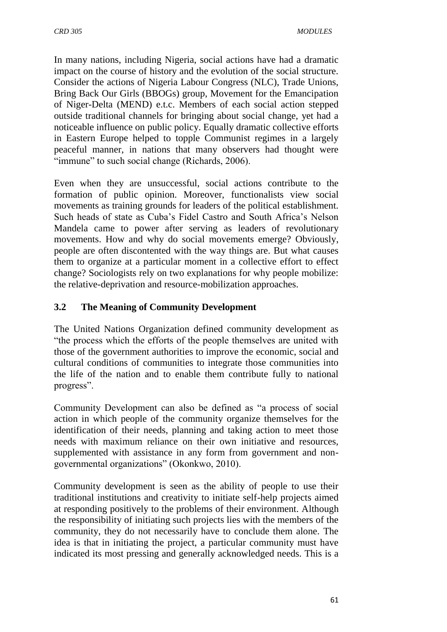In many nations, including Nigeria, social actions have had a dramatic impact on the course of history and the evolution of the social structure. Consider the actions of Nigeria Labour Congress (NLC), Trade Unions, Bring Back Our Girls (BBOGs) group, Movement for the Emancipation of Niger-Delta (MEND) e.t.c. Members of each social action stepped outside traditional channels for bringing about social change, yet had a noticeable influence on public policy. Equally dramatic collective efforts in Eastern Europe helped to topple Communist regimes in a largely peaceful manner, in nations that many observers had thought were "immune" to such social change (Richards, 2006).

Even when they are unsuccessful, social actions contribute to the formation of public opinion. Moreover, functionalists view social movements as training grounds for leaders of the political establishment. Such heads of state as Cuba's Fidel Castro and South Africa's Nelson Mandela came to power after serving as leaders of revolutionary movements. How and why do social movements emerge? Obviously, people are often discontented with the way things are. But what causes them to organize at a particular moment in a collective effort to effect change? Sociologists rely on two explanations for why people mobilize: the relative-deprivation and resource-mobilization approaches.

## **3.2 The Meaning of Community Development**

The United Nations Organization defined community development as "the process which the efforts of the people themselves are united with those of the government authorities to improve the economic, social and cultural conditions of communities to integrate those communities into the life of the nation and to enable them contribute fully to national progress".

Community Development can also be defined as "a process of social action in which people of the community organize themselves for the identification of their needs, planning and taking action to meet those needs with maximum reliance on their own initiative and resources, supplemented with assistance in any form from government and nongovernmental organizations" (Okonkwo, 2010).

Community development is seen as the ability of people to use their traditional institutions and creativity to initiate self-help projects aimed at responding positively to the problems of their environment. Although the responsibility of initiating such projects lies with the members of the community, they do not necessarily have to conclude them alone. The idea is that in initiating the project, a particular community must have indicated its most pressing and generally acknowledged needs. This is a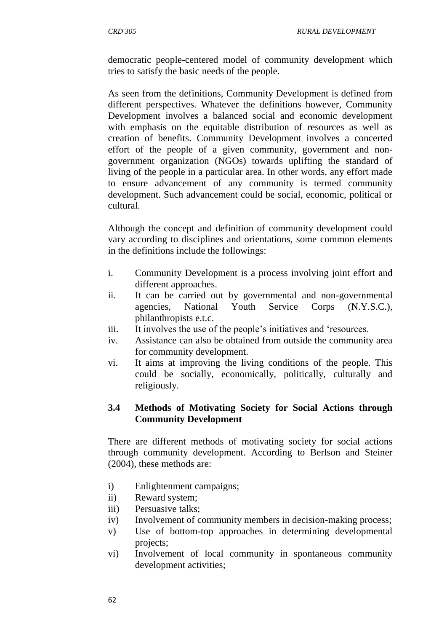democratic people-centered model of community development which tries to satisfy the basic needs of the people.

As seen from the definitions, Community Development is defined from different perspectives. Whatever the definitions however, Community Development involves a balanced social and economic development with emphasis on the equitable distribution of resources as well as creation of benefits. Community Development involves a concerted effort of the people of a given community, government and nongovernment organization (NGOs) towards uplifting the standard of living of the people in a particular area. In other words, any effort made to ensure advancement of any community is termed community development. Such advancement could be social, economic, political or cultural.

Although the concept and definition of community development could vary according to disciplines and orientations, some common elements in the definitions include the followings:

- i. Community Development is a process involving joint effort and different approaches.
- ii. It can be carried out by governmental and non-governmental agencies, National Youth Service Corps (N.Y.S.C.), philanthropists e.t.c.
- iii. It involves the use of the people's initiatives and 'resources.
- iv. Assistance can also be obtained from outside the community area for community development.
- vi. It aims at improving the living conditions of the people. This could be socially, economically, politically, culturally and religiously.

## **3.4 Methods of Motivating Society for Social Actions through Community Development**

There are different methods of motivating society for social actions through community development. According to Berlson and Steiner (2004), these methods are:

- i) Enlightenment campaigns;
- ii) Reward system;
- iii) Persuasive talks;
- iv) Involvement of community members in decision-making process;
- v) Use of bottom-top approaches in determining developmental projects;
- vi) Involvement of local community in spontaneous community development activities;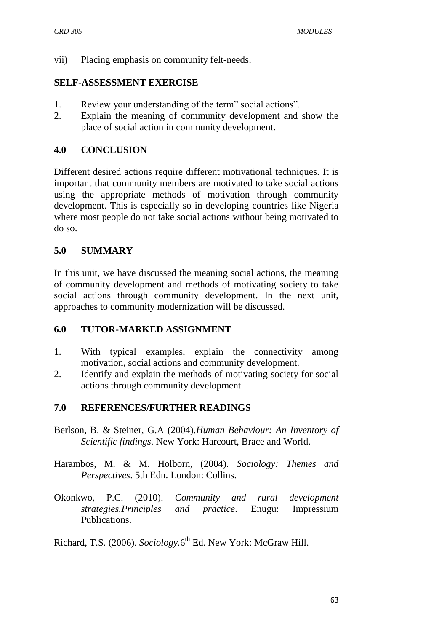vii) Placing emphasis on community felt-needs.

#### **SELF-ASSESSMENT EXERCISE**

- 1. Review your understanding of the term" social actions".
- 2. Explain the meaning of community development and show the place of social action in community development.

#### **4.0 CONCLUSION**

Different desired actions require different motivational techniques. It is important that community members are motivated to take social actions using the appropriate methods of motivation through community development. This is especially so in developing countries like Nigeria where most people do not take social actions without being motivated to do so.

## **5.0 SUMMARY**

In this unit, we have discussed the meaning social actions, the meaning of community development and methods of motivating society to take social actions through community development. In the next unit, approaches to community modernization will be discussed.

#### **6.0 TUTOR-MARKED ASSIGNMENT**

- 1. With typical examples, explain the connectivity among motivation, social actions and community development.
- 2. Identify and explain the methods of motivating society for social actions through community development.

## **7.0 REFERENCES/FURTHER READINGS**

- Berlson, B. & Steiner, G.A (2004).*Human Behaviour: An Inventory of Scientific findings*. New York: Harcourt, Brace and World.
- Harambos, M. & M. Holborn, (2004). *Sociology: Themes and Perspectives*. 5th Edn. London: Collins.
- Okonkwo, P.C. (2010). *Community and rural development strategies.Principles and practice*. Enugu: Impressium Publications.

Richard, T.S. (2006). *Sociology*.6<sup>th</sup> Ed. New York: McGraw Hill.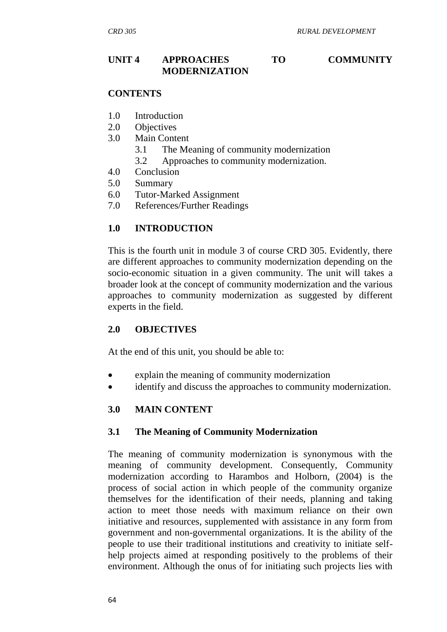## **UNIT 4 APPROACHES TO COMMUNITY MODERNIZATION**

#### **CONTENTS**

- 1.0 Introduction
- 2.0 Objectives
- 3.0 Main Content
	- 3.1 The Meaning of community modernization
	- 3.2 Approaches to community modernization.
- 4.0 Conclusion
- 5.0 Summary
- 6.0 Tutor-Marked Assignment
- 7.0 References/Further Readings

## **1.0 INTRODUCTION**

This is the fourth unit in module 3 of course CRD 305. Evidently, there are different approaches to community modernization depending on the socio-economic situation in a given community. The unit will takes a broader look at the concept of community modernization and the various approaches to community modernization as suggested by different experts in the field.

## **2.0 OBJECTIVES**

At the end of this unit, you should be able to:

- explain the meaning of community modernization
- identify and discuss the approaches to community modernization.

## **3.0 MAIN CONTENT**

## **3.1 The Meaning of Community Modernization**

The meaning of community modernization is synonymous with the meaning of community development. Consequently, Community modernization according to Harambos and Holborn, (2004) is the process of social action in which people of the community organize themselves for the identification of their needs, planning and taking action to meet those needs with maximum reliance on their own initiative and resources, supplemented with assistance in any form from government and non-governmental organizations. It is the ability of the people to use their traditional institutions and creativity to initiate selfhelp projects aimed at responding positively to the problems of their environment. Although the onus of for initiating such projects lies with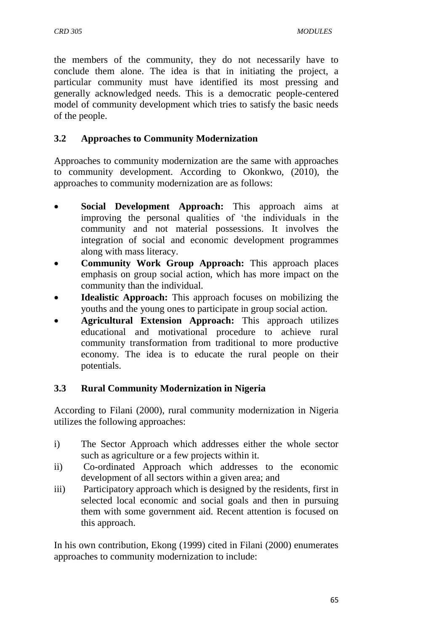the members of the community, they do not necessarily have to conclude them alone. The idea is that in initiating the project, a particular community must have identified its most pressing and generally acknowledged needs. This is a democratic people-centered model of community development which tries to satisfy the basic needs of the people.

# **3.2 Approaches to Community Modernization**

Approaches to community modernization are the same with approaches to community development. According to Okonkwo, (2010), the approaches to community modernization are as follows:

- **Social Development Approach:** This approach aims at improving the personal qualities of 'the individuals in the community and not material possessions. It involves the integration of social and economic development programmes along with mass literacy.
- **Community Work Group Approach:** This approach places emphasis on group social action, which has more impact on the community than the individual.
- **Idealistic Approach:** This approach focuses on mobilizing the youths and the young ones to participate in group social action.
- **Agricultural Extension Approach:** This approach utilizes educational and motivational procedure to achieve rural community transformation from traditional to more productive economy. The idea is to educate the rural people on their potentials.

# **3.3 Rural Community Modernization in Nigeria**

According to Filani (2000), rural community modernization in Nigeria utilizes the following approaches:

- i) The Sector Approach which addresses either the whole sector such as agriculture or a few projects within it.
- ii) Co-ordinated Approach which addresses to the economic development of all sectors within a given area; and
- iii) Participatory approach which is designed by the residents, first in selected local economic and social goals and then in pursuing them with some government aid. Recent attention is focused on this approach.

In his own contribution, Ekong (1999) cited in Filani (2000) enumerates approaches to community modernization to include: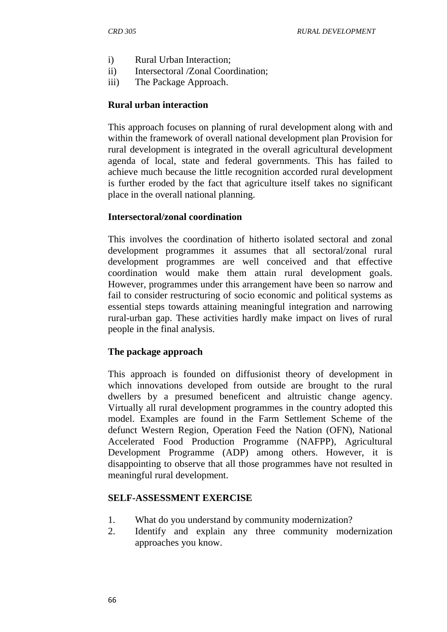- i) Rural Urban Interaction;
- ii) Intersectoral /Zonal Coordination;
- iii) The Package Approach.

#### **Rural urban interaction**

This approach focuses on planning of rural development along with and within the framework of overall national development plan Provision for rural development is integrated in the overall agricultural development agenda of local, state and federal governments. This has failed to achieve much because the little recognition accorded rural development is further eroded by the fact that agriculture itself takes no significant place in the overall national planning.

#### **Intersectoral/zonal coordination**

This involves the coordination of hitherto isolated sectoral and zonal development programmes it assumes that all sectoral/zonal rural development programmes are well conceived and that effective coordination would make them attain rural development goals. However, programmes under this arrangement have been so narrow and fail to consider restructuring of socio economic and political systems as essential steps towards attaining meaningful integration and narrowing rural-urban gap. These activities hardly make impact on lives of rural people in the final analysis.

## **The package approach**

This approach is founded on diffusionist theory of development in which innovations developed from outside are brought to the rural dwellers by a presumed beneficent and altruistic change agency. Virtually all rural development programmes in the country adopted this model. Examples are found in the Farm Settlement Scheme of the defunct Western Region, Operation Feed the Nation (OFN), National Accelerated Food Production Programme (NAFPP), Agricultural Development Programme (ADP) among others. However, it is disappointing to observe that all those programmes have not resulted in meaningful rural development.

## **SELF-ASSESSMENT EXERCISE**

- 1. What do you understand by community modernization?
- 2. Identify and explain any three community modernization approaches you know.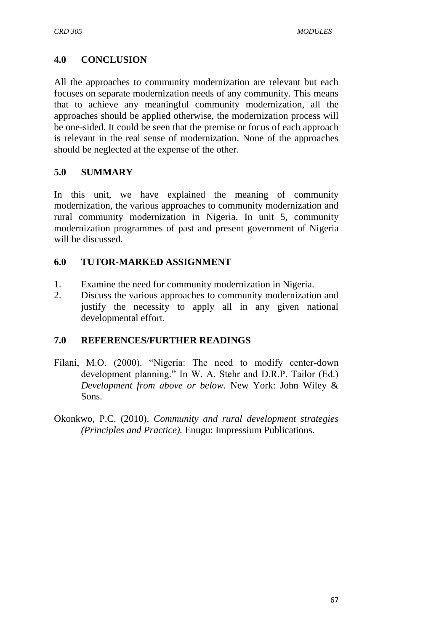## **4.0 CONCLUSION**

All the approaches to community modernization are relevant but each focuses on separate modernization needs of any community. This means that to achieve any meaningful community modernization, all the approaches should be applied otherwise, the modernization process will be one-sided. It could be seen that the premise or focus of each approach is relevant in the real sense of modernization. None of the approaches should be neglected at the expense of the other.

## **5.0 SUMMARY**

In this unit, we have explained the meaning of community modernization, the various approaches to community modernization and rural community modernization in Nigeria. In unit 5, community modernization programmes of past and present government of Nigeria will be discussed.

## **6.0 TUTOR-MARKED ASSIGNMENT**

- 1. Examine the need for community modernization in Nigeria.
- 2. Discuss the various approaches to community modernization and justify the necessity to apply all in any given national developmental effort.

## **7.0 REFERENCES/FURTHER READINGS**

- Filani, M.O. (2000). "Nigeria: The need to modify center-down development planning." In W. A. Stehr and D.R.P. Tailor (Ed.) *Development from above or below*. New York: John Wiley & Sons.
- Okonkwo, P.C. (2010). *Community and rural development strategies (Principles and Practice).* Enugu: Impressium Publications.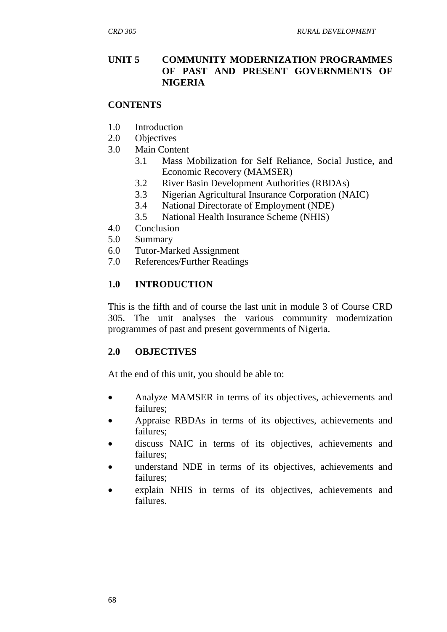## **UNIT 5 COMMUNITY MODERNIZATION PROGRAMMES OF PAST AND PRESENT GOVERNMENTS OF NIGERIA**

## **CONTENTS**

- 1.0 Introduction
- 2.0 Objectives
- 3.0 Main Content
	- 3.1 Mass Mobilization for [Self Reliance,](https://en.wikipedia.org/wiki/Self_Reliance) [Social Justice,](https://en.wikipedia.org/wiki/Social_Justice) and [Economic Recovery](https://en.wikipedia.org/wiki/Economic_recovery) (MAMSER)
	- 3.2 River Basin Development Authorities (RBDAs)
	- 3.3 Nigerian Agricultural Insurance Corporation (NAIC)
	- 3.4 National Directorate of Employment (NDE)
	- 3.5 National Health Insurance Scheme (NHIS)
- 4.0 Conclusion
- 5.0 Summary
- 6.0 Tutor-Marked Assignment
- 7.0 References/Further Readings

## **1.0 INTRODUCTION**

This is the fifth and of course the last unit in module 3 of Course CRD 305. The unit analyses the various community modernization programmes of past and present governments of Nigeria.

## **2.0 OBJECTIVES**

At the end of this unit, you should be able to:

- Analyze MAMSER in terms of its objectives, achievements and failures;
- Appraise RBDAs in terms of its objectives, achievements and failures;
- discuss NAIC in terms of its objectives, achievements and failures;
- understand NDE in terms of its objectives, achievements and failures;
- explain NHIS in terms of its objectives, achievements and failures.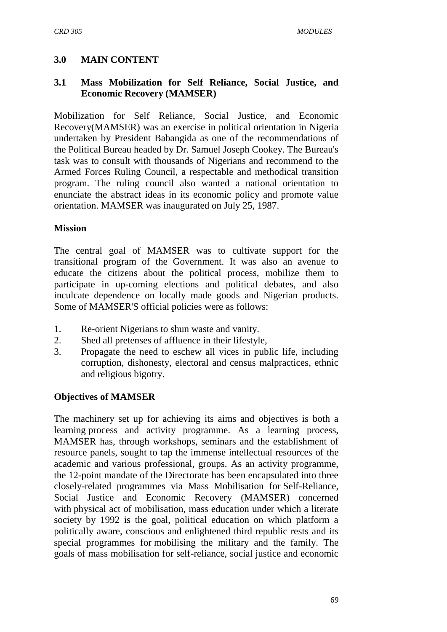# **3.0 MAIN CONTENT**

## **3.1 Mass Mobilization for [Self Reliance,](https://en.wikipedia.org/wiki/Self_Reliance) [Social Justice,](https://en.wikipedia.org/wiki/Social_Justice) and [Economic Recovery](https://en.wikipedia.org/wiki/Economic_recovery) (MAMSER)**

Mobilization for [Self Reliance,](https://en.wikipedia.org/wiki/Self_Reliance) [Social Justice,](https://en.wikipedia.org/wiki/Social_Justice) and [Economic](https://en.wikipedia.org/wiki/Economic_recovery)  [Recovery\(](https://en.wikipedia.org/wiki/Economic_recovery)MAMSER) was an exercise in political orientation in Nigeria undertaken by President [Babangida](https://en.wikipedia.org/wiki/Babangida) as one of the recommendations of the [Political Bureau](https://en.wikipedia.org/wiki/Nigerian_Political_Bureau_of_1986) headed by Dr. Samuel Joseph Cookey. The Bureau's task was to consult with thousands of Nigerians and recommend to the [Armed Forces Ruling Council,](https://en.wikipedia.org/wiki/Armed_Forces_Ruling_Council) a respectable and methodical transition program. The ruling council also wanted a national orientation to enunciate the abstract ideas in its economic policy and promote value orientation. MAMSER was inaugurated on July 25, 1987.

## **Mission**

The central goal of MAMSER was to cultivate support for the transitional program of the Government. It was also an avenue to educate the citizens about the political process, mobilize them to participate in up-coming elections and political debates, and also inculcate dependence on locally made goods and Nigerian products. Some of MAMSER'S official policies were as follows:

- 1. Re-orient Nigerians to shun waste and vanity.
- 2. Shed all pretenses of affluence in their lifestyle,
- 3. Propagate the need to eschew all vices in public life, including corruption, dishonesty, electoral and census malpractices, ethnic and religious bigotry.

## **Objectives of MAMSER**

The machinery set up for achieving its aims and objectives is both a learning process and activity programme. As a learning process, MAMSER has, through workshops, seminars and the establishment of resource panels, sought to tap the immense intellectual resources of the academic and various professional, groups. As an activity programme, the 12-point mandate of the Directorate has been encapsulated into three closely-related programmes via Mass Mobilisation for Self-Reliance, Social Justice and Economic Recovery (MAMSER) concerned with physical act of mobilisation, mass education under which a literate society by 1992 is the goal, political education on which platform a politically aware, conscious and enlightened third republic rests and its special programmes for mobilising the military and the family. The goals of mass mobilisation for self-reliance, social justice and economic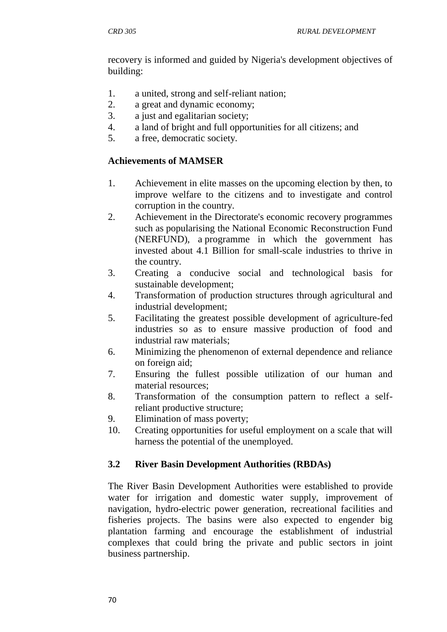recovery is informed and guided by Nigeria's development objectives of building:

- 1. a united, strong and self-reliant nation;
- 2. a great and dynamic economy;
- 3. a just and egalitarian society;
- 4. a land of bright and full opportunities for all citizens; and
- 5. a free, democratic society.

## **Achievements of MAMSER**

- 1. Achievement in elite masses on the upcoming election by then, to improve welfare to the citizens and to investigate and control corruption in the country.
- 2. Achievement in the Directorate's economic recovery programmes such as popularising the National Economic Reconstruction Fund (NERFUND), a programme in which the government has invested about 4.1 Billion for small-scale industries to thrive in the country.
- 3. Creating a conducive social and technological basis for sustainable development;
- 4. Transformation of production structures through agricultural and industrial development;
- 5. Facilitating the greatest possible development of agriculture-fed industries so as to ensure massive production of food and industrial raw materials;
- 6. Minimizing the phenomenon of external dependence and reliance on foreign aid;
- 7. Ensuring the fullest possible utilization of our human and material resources;
- 8. Transformation of the consumption pattern to reflect a selfreliant productive structure;
- 9. Elimination of mass poverty;
- 10. Creating opportunities for useful employment on a scale that will harness the potential of the unemployed.

# **3.2 River Basin Development Authorities (RBDAs)**

The River Basin Development Authorities were established to provide water for irrigation and domestic water supply, improvement of navigation, hydro-electric power generation, recreational facilities and fisheries projects. The basins were also expected to engender big plantation farming and encourage the establishment of industrial complexes that could bring the private and public sectors in joint business partnership.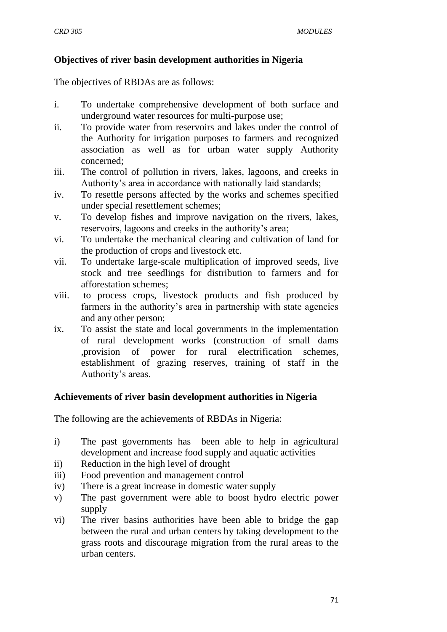## **Objectives of river basin development authorities in Nigeria**

The objectives of RBDAs are as follows:

- i. To undertake comprehensive development of both surface and underground water resources for multi-purpose use;
- ii. To provide water from reservoirs and lakes under the control of the Authority for irrigation purposes to farmers and recognized association as well as for urban water supply Authority concerned;
- iii. The control of pollution in rivers, lakes, lagoons, and creeks in Authority's area in accordance with nationally laid standards;
- iv. To resettle persons affected by the works and schemes specified under special resettlement schemes;
- v. To develop fishes and improve navigation on the rivers, lakes, reservoirs, lagoons and creeks in the authority's area;
- vi. To undertake the mechanical clearing and cultivation of land for the production of crops and livestock etc.
- vii. To undertake large-scale multiplication of improved seeds, live stock and tree seedlings for distribution to farmers and for afforestation schemes;
- viii. to process crops, livestock products and fish produced by farmers in the authority's area in partnership with state agencies and any other person;
- ix. To assist the state and local governments in the implementation of rural development works (construction of small dams ,provision of power for rural electrification schemes, establishment of grazing reserves, training of staff in the Authority's areas.

## **Achievements of river basin development authorities in Nigeria**

The following are the achievements of RBDAs in Nigeria:

- i) The past governments has been able to help in agricultural development and increase food supply and aquatic activities
- ii) Reduction in the high level of drought
- iii) Food prevention and management control
- iv) There is a great increase in domestic water supply
- v) The past government were able to boost hydro electric power supply
- vi) The river basins authorities have been able to bridge the gap between the rural and urban centers by taking development to the grass roots and discourage migration from the rural areas to the urban centers.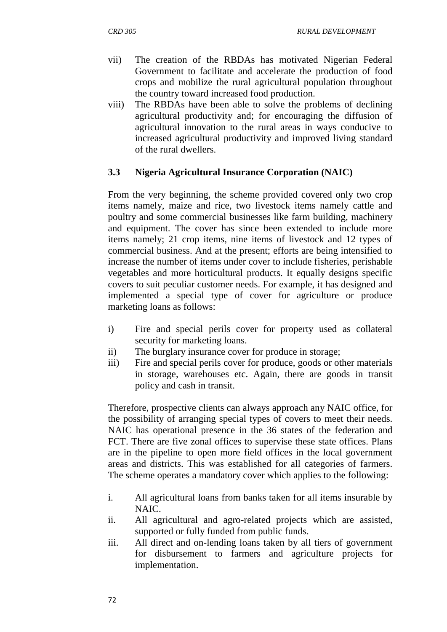- vii) The creation of the RBDAs has motivated Nigerian Federal Government to facilitate and accelerate the production of food crops and mobilize the rural agricultural population throughout the country toward increased food production.
- viii) The RBDAs have been able to solve the problems of declining agricultural productivity and; for encouraging the diffusion of agricultural innovation to the rural areas in ways conducive to increased agricultural productivity and improved living standard of the rural dwellers.

## **3.3 Nigeria Agricultural Insurance Corporation (NAIC)**

From the very beginning, the scheme provided covered only two crop items namely, maize and rice, two livestock items namely cattle and poultry and some commercial businesses like farm building, machinery and equipment. The cover has since been extended to include more items namely; 21 crop items, nine items of livestock and 12 types of commercial business. And at the present; efforts are being intensified to increase the number of items under cover to include fisheries, perishable vegetables and more horticultural products. It equally designs specific covers to suit peculiar customer needs. For example, it has designed and implemented a special type of cover for agriculture or produce marketing loans as follows:

- i) Fire and special perils cover for property used as collateral security for marketing loans.
- ii) The burglary insurance cover for produce in storage;
- iii) Fire and special perils cover for produce, goods or other materials in storage, warehouses etc. Again, there are goods in transit policy and cash in transit.

Therefore, prospective clients can always approach any NAIC office, for the possibility of arranging special types of covers to meet their needs. NAIC has operational presence in the 36 states of the federation and FCT. There are five zonal offices to supervise these state offices. Plans are in the pipeline to open more field offices in the local government areas and districts. This was established for all categories of farmers. The scheme operates a mandatory cover which applies to the following:

- i. All agricultural loans from banks taken for all items insurable by NAIC.
- ii. All agricultural and agro-related projects which are assisted, supported or fully funded from public funds.
- iii. All direct and on-lending loans taken by all tiers of government for disbursement to farmers and agriculture projects for implementation.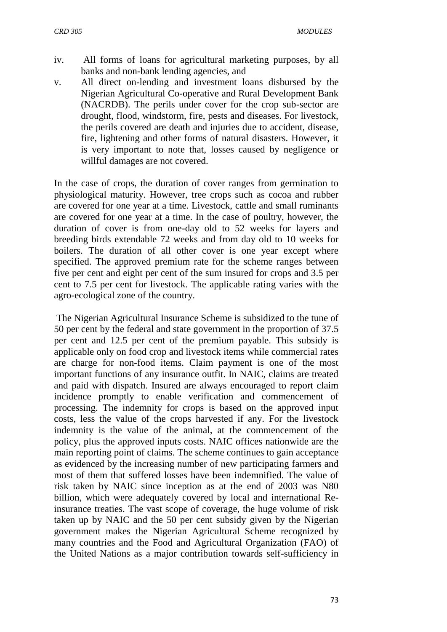- iv. All forms of loans for agricultural marketing purposes, by all banks and non-bank lending agencies, and
- v. All direct on-lending and investment loans disbursed by the Nigerian Agricultural Co-operative and Rural Development Bank (NACRDB). The perils under cover for the crop sub-sector are drought, flood, windstorm, fire, pests and diseases. For livestock, the perils covered are death and injuries due to accident, disease, fire, lightening and other forms of natural disasters. However, it is very important to note that, losses caused by negligence or willful damages are not covered.

In the case of crops, the duration of cover ranges from germination to physiological maturity. However, tree crops such as cocoa and rubber are covered for one year at a time. Livestock, cattle and small ruminants are covered for one year at a time. In the case of poultry, however, the duration of cover is from one-day old to 52 weeks for layers and breeding birds extendable 72 weeks and from day old to 10 weeks for boilers. The duration of all other cover is one year except where specified. The approved premium rate for the scheme ranges between five per cent and eight per cent of the sum insured for crops and 3.5 per cent to 7.5 per cent for livestock. The applicable rating varies with the agro-ecological zone of the country.

The Nigerian Agricultural Insurance Scheme is subsidized to the tune of 50 per cent by the federal and state government in the proportion of 37.5 per cent and 12.5 per cent of the premium payable. This subsidy is applicable only on food crop and livestock items while commercial rates are charge for non-food items. Claim payment is one of the most important functions of any insurance outfit. In NAIC, claims are treated and paid with dispatch. Insured are always encouraged to report claim incidence promptly to enable verification and commencement of processing. The indemnity for crops is based on the approved input costs, less the value of the crops harvested if any. For the livestock indemnity is the value of the animal, at the commencement of the policy, plus the approved inputs costs. NAIC offices nationwide are the main reporting point of claims. The scheme continues to gain acceptance as evidenced by the increasing number of new participating farmers and most of them that suffered losses have been indemnified. The value of risk taken by NAIC since inception as at the end of 2003 was N80 billion, which were adequately covered by local and international Reinsurance treaties. The vast scope of coverage, the huge volume of risk taken up by NAIC and the 50 per cent subsidy given by the Nigerian government makes the Nigerian Agricultural Scheme recognized by many countries and the Food and Agricultural Organization (FAO) of the United Nations as a major contribution towards self-sufficiency in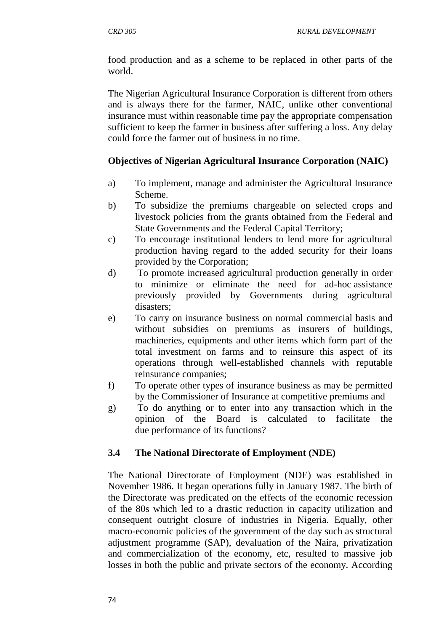food production and as a scheme to be replaced in other parts of the world.

The Nigerian Agricultural Insurance Corporation is different from others and is always there for the farmer, NAIC, unlike other conventional insurance must within reasonable time pay the appropriate compensation sufficient to keep the farmer in business after suffering a loss. Any delay could force the farmer out of business in no time.

# **Objectives of Nigerian Agricultural Insurance Corporation (NAIC)**

- a) To implement, manage and administer the Agricultural Insurance Scheme.
- b) To subsidize the premiums chargeable on selected crops and livestock policies from the grants obtained from the Federal and State Governments and the Federal Capital Territory;
- c) To encourage institutional lenders to lend more for agricultural production having regard to the added security for their loans provided by the Corporation;
- d) To promote increased agricultural production generally in order to minimize or eliminate the need for ad-hoc assistance previously provided by Governments during agricultural disasters;
- e) To carry on insurance business on normal commercial basis and without subsidies on premiums as insurers of buildings, machineries, equipments and other items which form part of the total investment on farms and to reinsure this aspect of its operations through well-established channels with reputable reinsurance companies;
- f) To operate other types of insurance business as may be permitted by the Commissioner of Insurance at competitive premiums and
- g) To do anything or to enter into any transaction which in the opinion of the Board is calculated to facilitate the due performance of its functions?

## **3.4 The National Directorate of Employment (NDE)**

The National Directorate of Employment (NDE) was established in November 1986. It began operations fully in January 1987. The birth of the Directorate was predicated on the effects of the economic recession of the 80s which led to a drastic reduction in capacity utilization and consequent outright closure of industries in Nigeria. Equally, other macro-economic policies of the government of the day such as structural adjustment programme (SAP), devaluation of the Naira, privatization and commercialization of the economy, etc, resulted to massive job losses in both the public and private sectors of the economy. According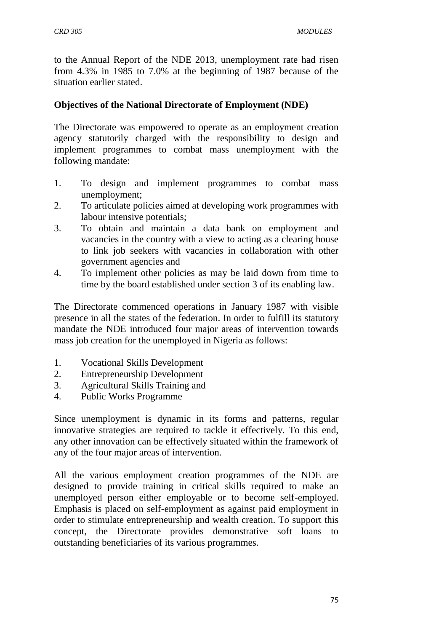to the Annual Report of the NDE 2013, unemployment rate had risen from 4.3% in 1985 to 7.0% at the beginning of 1987 because of the situation earlier stated.

## **Objectives of the National Directorate of Employment (NDE)**

The Directorate was empowered to operate as an employment creation agency statutorily charged with the responsibility to design and implement programmes to combat mass unemployment with the following mandate:

- 1. To design and implement programmes to combat mass unemployment;
- 2. To articulate policies aimed at developing work programmes with labour intensive potentials;
- 3. To obtain and maintain a data bank on employment and vacancies in the country with a view to acting as a clearing house to link job seekers with vacancies in collaboration with other government agencies and
- 4. To implement other policies as may be laid down from time to time by the board established under section 3 of its enabling law.

The Directorate commenced operations in January 1987 with visible presence in all the states of the federation. In order to fulfill its statutory mandate the NDE introduced four major areas of intervention towards mass job creation for the unemployed in Nigeria as follows:

- 1. Vocational Skills Development
- 2. Entrepreneurship Development
- 3. Agricultural Skills Training and
- 4. Public Works Programme

Since unemployment is dynamic in its forms and patterns, regular innovative strategies are required to tackle it effectively. To this end, any other innovation can be effectively situated within the framework of any of the four major areas of intervention.

All the various employment creation programmes of the NDE are designed to provide training in critical skills required to make an unemployed person either employable or to become self-employed. Emphasis is placed on self-employment as against paid employment in order to stimulate entrepreneurship and wealth creation. To support this concept, the Directorate provides demonstrative soft loans to outstanding beneficiaries of its various programmes.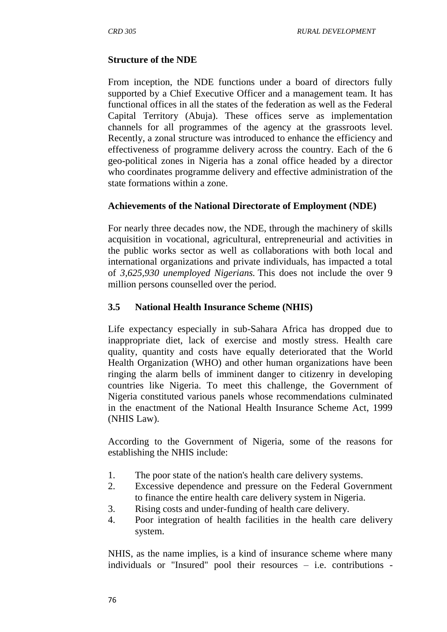## **Structure of the NDE**

From inception, the NDE functions under a board of directors fully supported by a Chief Executive Officer and a management team. It has functional offices in all the states of the federation as well as the Federal Capital Territory (Abuja). These offices serve as implementation channels for all programmes of the agency at the grassroots level. Recently, a zonal structure was introduced to enhance the efficiency and effectiveness of programme delivery across the country. Each of the 6 geo-political zones in Nigeria has a zonal office headed by a director who coordinates programme delivery and effective administration of the state formations within a zone.

## **Achievements of the National Directorate of Employment (NDE)**

For nearly three decades now, the NDE, through the machinery of skills acquisition in vocational, agricultural, entrepreneurial and activities in the public works sector as well as collaborations with both local and international organizations and private individuals, has impacted a total of *3,625,930 unemployed Nigerians.* This does not include the over 9 million persons counselled over the period.

## **3.5 National Health Insurance Scheme (NHIS)**

Life expectancy especially in sub-Sahara Africa has dropped due to inappropriate diet, lack of exercise and mostly stress. Health care quality, quantity and costs have equally deteriorated that the World Health Organization (WHO) and other human organizations have been ringing the alarm bells of imminent danger to citizenry in developing countries like Nigeria. To meet this challenge, the Government of Nigeria constituted various panels whose recommendations culminated in the enactment of the National Health Insurance Scheme Act, 1999 (NHIS Law).

According to the Government of Nigeria, some of the reasons for establishing the NHIS include:

- 1. The poor state of the nation's health care delivery systems.
- 2. Excessive dependence and pressure on the Federal Government to finance the entire health care delivery system in Nigeria.
- 3. Rising costs and under-funding of health care delivery.
- 4. Poor integration of health facilities in the health care delivery system.

NHIS, as the name implies, is a kind of insurance scheme where many individuals or "Insured" pool their resources – i.e. contributions -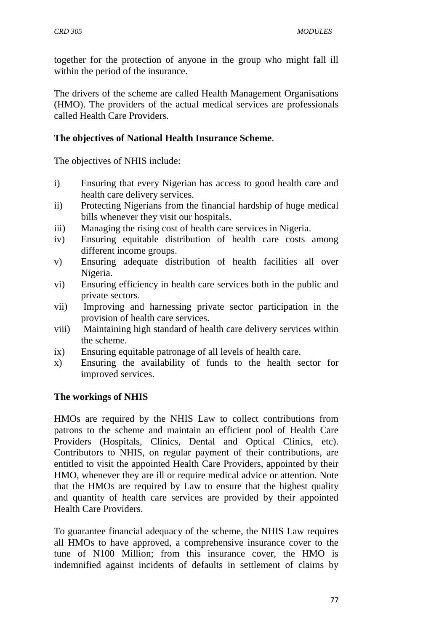together for the protection of anyone in the group who might fall ill within the period of the insurance.

The drivers of the scheme are called Health Management Organisations (HMO). The providers of the actual medical services are professionals called Health Care Providers.

#### **The objectives of National Health Insurance Scheme**.

The objectives of NHIS include:

- i) Ensuring that every Nigerian has access to good health care and health care delivery services.
- ii) Protecting Nigerians from the financial hardship of huge medical bills whenever they visit our hospitals.
- iii) Managing the rising cost of health care services in Nigeria.
- iv) Ensuring equitable distribution of health care costs among different income groups.
- v) Ensuring adequate distribution of health facilities all over Nigeria.
- vi) Ensuring efficiency in health care services both in the public and private sectors.
- vii) Improving and harnessing private sector participation in the provision of health care services.
- viii) Maintaining high standard of health care delivery services within the scheme.
- ix) Ensuring equitable patronage of all levels of health care.
- x) Ensuring the availability of funds to the health sector for improved services.

## **The workings of NHIS**

HMOs are required by the NHIS Law to collect contributions from patrons to the scheme and maintain an efficient pool of Health Care Providers (Hospitals, Clinics, Dental and Optical Clinics, etc). Contributors to NHIS, on regular payment of their contributions, are entitled to visit the appointed Health Care Providers, appointed by their HMO, whenever they are ill or require medical advice or attention. Note that the HMOs are required by Law to ensure that the highest quality and quantity of health care services are provided by their appointed Health Care Providers.

To guarantee financial adequacy of the scheme, the NHIS Law requires all HMOs to have approved, a comprehensive insurance cover to the tune of N100 Million; from this insurance cover, the HMO is indemnified against incidents of defaults in settlement of claims by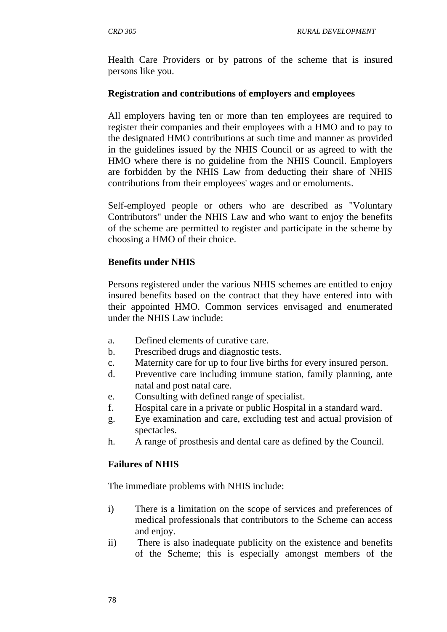Health Care Providers or by patrons of the scheme that is insured persons like you.

## **Registration and contributions of employers and employees**

All employers having ten or more than ten employees are required to register their companies and their employees with a HMO and to pay to the designated HMO contributions at such time and manner as provided in the guidelines issued by the NHIS Council or as agreed to with the HMO where there is no guideline from the NHIS Council. Employers are forbidden by the NHIS Law from deducting their share of NHIS contributions from their employees' wages and or emoluments.

Self-employed people or others who are described as "Voluntary Contributors" under the NHIS Law and who want to enjoy the benefits of the scheme are permitted to register and participate in the scheme by choosing a HMO of their choice.

#### **Benefits under NHIS**

Persons registered under the various NHIS schemes are entitled to enjoy insured benefits based on the contract that they have entered into with their appointed HMO. Common services envisaged and enumerated under the NHIS Law include:

- a. Defined elements of curative care.
- b. Prescribed drugs and diagnostic tests.
- c. Maternity care for up to four live births for every insured person.
- d. Preventive care including immune station, family planning, ante natal and post natal care.
- e. Consulting with defined range of specialist.
- f. Hospital care in a private or public Hospital in a standard ward.
- g. Eye examination and care, excluding test and actual provision of spectacles.
- h. A range of prosthesis and dental care as defined by the Council.

## **Failures of NHIS**

The immediate problems with NHIS include:

- i) There is a limitation on the scope of services and preferences of medical professionals that contributors to the Scheme can access and enjoy.
- ii) There is also inadequate publicity on the existence and benefits of the Scheme; this is especially amongst members of the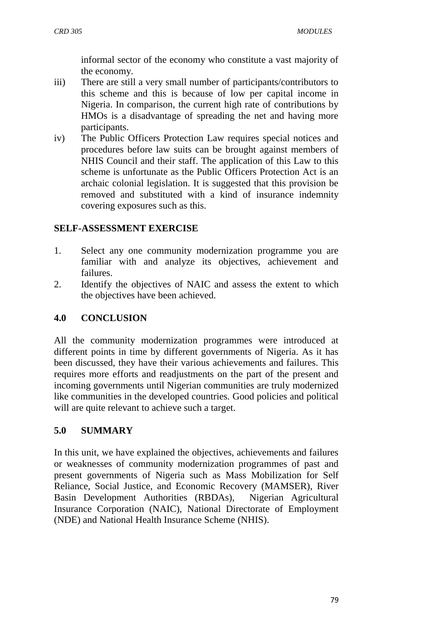informal sector of the economy who constitute a vast majority of the economy.

- iii) There are still a very small number of participants/contributors to this scheme and this is because of low per capital income in Nigeria. In comparison, the current high rate of contributions by HMOs is a disadvantage of spreading the net and having more participants.
- iv) The Public Officers Protection Law requires special notices and procedures before law suits can be brought against members of NHIS Council and their staff. The application of this Law to this scheme is unfortunate as the Public Officers Protection Act is an archaic colonial legislation. It is suggested that this provision be removed and substituted with a kind of insurance indemnity covering exposures such as this.

# **SELF-ASSESSMENT EXERCISE**

- 1. Select any one community modernization programme you are familiar with and analyze its objectives, achievement and failures.
- 2. Identify the objectives of NAIC and assess the extent to which the objectives have been achieved.

# **4.0 CONCLUSION**

All the community modernization programmes were introduced at different points in time by different governments of Nigeria. As it has been discussed, they have their various achievements and failures. This requires more efforts and readjustments on the part of the present and incoming governments until Nigerian communities are truly modernized like communities in the developed countries. Good policies and political will are quite relevant to achieve such a target.

# **5.0 SUMMARY**

In this unit, we have explained the objectives, achievements and failures or weaknesses of community modernization programmes of past and present governments of Nigeria such as Mass Mobilization for [Self](https://en.wikipedia.org/wiki/Self_Reliance)  [Reliance,](https://en.wikipedia.org/wiki/Self_Reliance) [Social Justice,](https://en.wikipedia.org/wiki/Social_Justice) and [Economic Recovery](https://en.wikipedia.org/wiki/Economic_recovery) (MAMSER), River Basin Development Authorities (RBDAs), Nigerian Agricultural Insurance Corporation (NAIC), National Directorate of Employment (NDE) and National Health Insurance Scheme (NHIS).